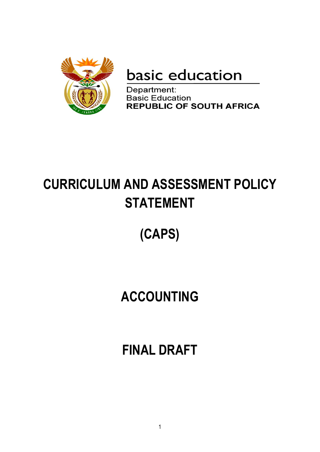

basic education

Department: **Basic Education REPUBLIC OF SOUTH AFRICA** 

# **CURRICULUM AND ASSESSMENT POLICY STATEMENT**

# **(CAPS)**

# **ACCOUNTING**

**FINAL DRAFT**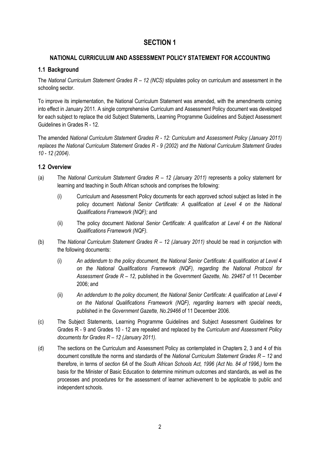# **SECTION 1**

## **NATIONAL CURRICULUM AND ASSESSMENT POLICY STATEMENT FOR ACCOUNTING**

## **1.1 Background**

The *National Curriculum Statement Grades R – 12 (NCS)* stipulates policy on curriculum and assessment in the schooling sector.

To improve its implementation, the National Curriculum Statement was amended, with the amendments coming into effect in January 2011. A single comprehensive Curriculum and Assessment Policy document was developed for each subject to replace the old Subject Statements, Learning Programme Guidelines and Subject Assessment Guidelines in Grades R - 12.

The amended *National Curriculum Statement Grades R - 12: Curriculum and Assessment Policy (January 2011) replaces the National Curriculum Statement Grades R - 9 (2002) and the National Curriculum Statement Grades 10 - 12 (2004)*.

## **1.2 Overview**

- (a) The *National Curriculum Statement Grades R – 12 (January 2011)* represents a policy statement for learning and teaching in South African schools and comprises the following:
	- (i) Curriculum and Assessment Policy documents for each approved school subject as listed in the policy document *National Senior Certificate: A qualification at Level 4 on the National Qualifications Framework (NQF);* and
	- (ii) The policy document *National Senior Certificate: A qualification at Level 4 on the National Qualifications Framework (NQF).*
- (b) The *National Curriculum Statement Grades R – 12 (January 2011)* should be read in conjunction with the following documents:
	- (i) *An addendum to the policy document, the National Senior Certificate: A qualification at Level 4 on the National Qualifications Framework (NQF), regarding the National Protocol for Assessment Grade R – 12*, published in the *Government Gazette, No. 29467* of 11 December 2006; and
	- (ii) *An addendum to the policy document, the National Senior Certificate: A qualification at Level 4 on the National Qualifications Framework (NQF), regarding learners with special needs,* published in the *Government Gazette, No.29466* of 11 December 2006.
- (c) The Subject Statements, Learning Programme Guidelines and Subject Assessment Guidelines for Grades R - 9 and Grades 10 - 12 are repealed and replaced by the *Curriculum and Assessment Policy documents for Grades R – 12 (January 2011)*.
- (d) The sections on the Curriculum and Assessment Policy as contemplated in Chapters 2, 3 and 4 of this document constitute the norms and standards of the *National Curriculum Statement Grades R – 12* and therefore, in terms of *section 6A* of the *South African Schools Act, 1996 (Act No. 84 of 1996,)* form the basis for the Minister of Basic Education to determine minimum outcomes and standards, as well as the processes and procedures for the assessment of learner achievement to be applicable to public and independent schools.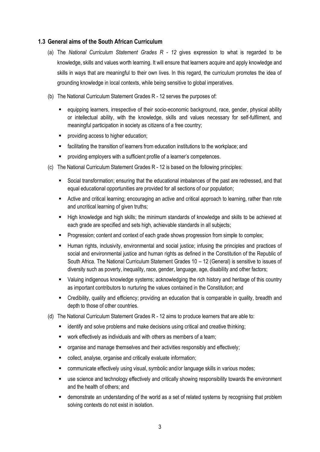## **1.3 General aims of the South African Curriculum**

- (a) The *National Curriculum Statement Grades R - 12* gives expression to what is regarded to be knowledge, skills and values worth learning. It will ensure that learners acquire and apply knowledge and skills in ways that are meaningful to their own lives. In this regard, the curriculum promotes the idea of grounding knowledge in local contexts, while being sensitive to global imperatives.
- (b) The National Curriculum Statement Grades R 12 serves the purposes of:
	- equipping learners, irrespective of their socio-economic background, race, gender, physical ability or intellectual ability, with the knowledge, skills and values necessary for self-fulfilment, and meaningful participation in society as citizens of a free country;
	- **P** providing access to higher education:
	- facilitating the transition of learners from education institutions to the workplace; and
	- **PEDDED FILEY EXE** providing employers with a sufficient profile of a learner's competences.
- (c) The National Curriculum Statement Grades R 12 is based on the following principles:
	- Social transformation; ensuring that the educational imbalances of the past are redressed, and that equal educational opportunities are provided for all sections of our population;
	- Active and critical learning; encouraging an active and critical approach to learning, rather than rote and uncritical learning of given truths;
	- **High knowledge and high skills; the minimum standards of knowledge and skills to be achieved at Finan** each grade are specified and sets high, achievable standards in all subjects;
	- **Progression; content and context of each grade shows progression from simple to complex;**
	- Human rights, inclusivity, environmental and social justice; infusing the principles and practices of social and environmental justice and human rights as defined in the Constitution of the Republic of South Africa. The National Curriculum Statement Grades 10 – 12 (General) is sensitive to issues of diversity such as poverty, inequality, race, gender, language, age, disability and other factors;
	- Valuing indigenous knowledge systems; acknowledging the rich history and heritage of this country as important contributors to nurturing the values contained in the Constitution; and
	- Credibility, quality and efficiency; providing an education that is comparable in quality, breadth and depth to those of other countries.
- (d) The National Curriculum Statement Grades R 12 aims to produce learners that are able to:
	- identify and solve problems and make decisions using critical and creative thinking;
	- work effectively as individuals and with others as members of a team;
	- **•** organise and manage themselves and their activities responsibly and effectively;
	- collect, analyse, organise and critically evaluate information;
	- communicate effectively using visual, symbolic and/or language skills in various modes;
	- use science and technology effectively and critically showing responsibility towards the environment and the health of others; and
	- demonstrate an understanding of the world as a set of related systems by recognising that problem solving contexts do not exist in isolation.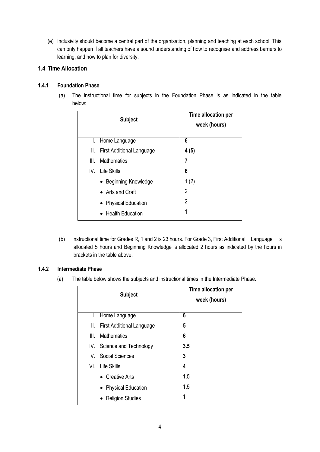(e) Inclusivity should become a central part of the organisation, planning and teaching at each school. This can only happen if all teachers have a sound understanding of how to recognise and address barriers to learning, and how to plan for diversity.

## **1.4 Time Allocation**

## **1.4.1 Foundation Phase**

(a) The instructional time for subjects in the Foundation Phase is as indicated in the table below:

|      | <b>Subject</b>                   | Time allocation per<br>week (hours) |
|------|----------------------------------|-------------------------------------|
| L.   | Home Language                    | 6                                   |
| II.  | <b>First Additional Language</b> | 4(5)                                |
| III. | <b>Mathematics</b>               | 7                                   |
|      | IV. Life Skills                  | 6                                   |
|      | • Beginning Knowledge            | 1(2)                                |
|      | • Arts and Craft                 | 2                                   |
|      | • Physical Education             | 2                                   |
|      | <b>Health Education</b>          | 1                                   |

(b) Instructional time for Grades R, 1 and 2 is 23 hours. For Grade 3, First Additional Language is allocated 5 hours and Beginning Knowledge is allocated 2 hours as indicated by the hours in brackets in the table above.

## **1.4.2 Intermediate Phase**

(a) The table below shows the subjects and instructional times in the Intermediate Phase.

|      | <b>Subject</b>                   | Time allocation per<br>week (hours) |
|------|----------------------------------|-------------------------------------|
| I.   | Home Language                    | 6                                   |
| II.  | <b>First Additional Language</b> | 5                                   |
| III. | <b>Mathematics</b>               | 6                                   |
|      | IV. Science and Technology       | 3.5                                 |
| V.   | <b>Social Sciences</b>           | 3                                   |
| VL   | <b>Life Skills</b>               | 4                                   |
|      | • Creative Arts                  | 1.5                                 |
|      | • Physical Education             | 1.5                                 |
|      | • Religion Studies               | 1                                   |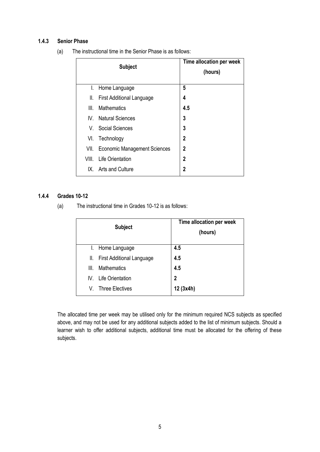## **1.4.3 Senior Phase**

| (a)<br>The instructional time in the Senior Phase is as follows: |
|------------------------------------------------------------------|
|------------------------------------------------------------------|

|       | <b>Subject</b>                      | Time allocation per week<br>(hours) |
|-------|-------------------------------------|-------------------------------------|
| L.    | Home Language                       | 5                                   |
| II.   | <b>First Additional Language</b>    | 4                                   |
| III.  | <b>Mathematics</b>                  | 4.5                                 |
|       | IV. Natural Sciences                | 3                                   |
|       | V. Social Sciences                  | 3                                   |
| VI.   | Technology                          | 2                                   |
| VII.  | <b>Economic Management Sciences</b> | 2                                   |
| VIII. | <b>Life Orientation</b>             | $\mathbf 2$                         |
|       | IX. Arts and Culture                | 2                                   |

## **1.4.4 Grades 10-12**

(a) The instructional time in Grades 10-12 is as follows:

|      | <b>Subject</b>                | Time allocation per week<br>(hours) |
|------|-------------------------------|-------------------------------------|
| I.   | Home Language                 | 4.5                                 |
|      | II. First Additional Language | 4.5                                 |
| III. | <b>Mathematics</b>            | 4.5                                 |
| IV.  | <b>Life Orientation</b>       | $\overline{2}$                      |
| V.   | <b>Three Electives</b>        | 12 (3x4h)                           |

The allocated time per week may be utilised only for the minimum required NCS subjects as specified above, and may not be used for any additional subjects added to the list of minimum subjects. Should a learner wish to offer additional subjects, additional time must be allocated for the offering of these subjects.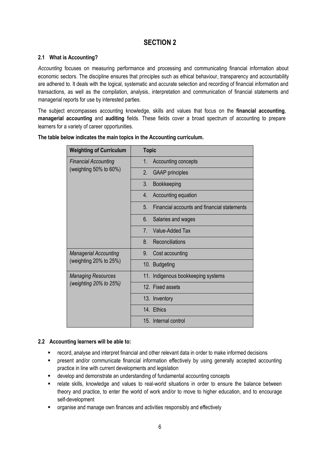# **SECTION 2**

## **2.1 What is Accounting?**

*Accounting* focuses on measuring performance and processing and communicating financial information about economic sectors. The discipline ensures that principles such as ethical behaviour, transparency and accountability are adhered to. It deals with the logical, systematic and accurate selection and recording of financial information and transactions, as well as the compilation, analysis, interpretation and communication of financial statements and managerial reports for use by interested parties.

The subject encompasses accounting knowledge, skills and values that focus on the **financial accounting**, **managerial accounting** and **auditing** fields. These fields cover a broad spectrum of accounting to prepare learners for a variety of career opportunities.

| <b>Weighting of Curriculum</b> | <b>Topic</b>                                        |
|--------------------------------|-----------------------------------------------------|
| <b>Financial Accounting</b>    | Accounting concepts<br>1.                           |
| (weighting $50\%$ to $60\%$ )  | 2.<br><b>GAAP</b> principles                        |
|                                | 3.<br>Bookkeeping                                   |
|                                | Accounting equation<br>4.                           |
|                                | Financial accounts and financial statements<br>5.   |
|                                | 6.<br>Salaries and wages                            |
|                                | Value-Added Tax<br>$7_{\scriptscriptstyle{\ddots}}$ |
|                                | 8.<br>Reconciliations                               |
| <b>Managerial Accounting</b>   | 9.<br>Cost accounting                               |
| (weighting 20% to 25%)         | 10. Budgeting                                       |
| <b>Managing Resources</b>      | 11. Indigenous bookkeeping systems                  |
| (weighting $20\%$ to $25\%)$   | 12. Fixed assets                                    |
|                                | 13. Inventory                                       |
|                                | 14. Ethics                                          |
|                                | 15. Internal control                                |

### **The table below indicates the main topics in the Accounting curriculum.**

## **2.2 Accounting learners will be able to:**

- record, analyse and interpret financial and other relevant data in order to make informed decisions
- present and/or communicate financial information effectively by using generally accepted accounting practice in line with current developments and legislation
- develop and demonstrate an understanding of fundamental accounting concepts
- relate skills, knowledge and values to real-world situations in order to ensure the balance between theory and practice, to enter the world of work and/or to move to higher education, and to encourage self-development
- **•** organise and manage own finances and activities responsibly and effectively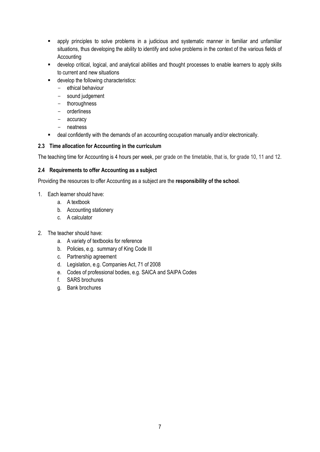- apply principles to solve problems in a judicious and systematic manner in familiar and unfamiliar situations, thus developing the ability to identify and solve problems in the context of the various fields of **Accounting**
- develop critical, logical, and analytical abilities and thought processes to enable learners to apply skills to current and new situations
- $\blacksquare$  develop the following characteristics:
	- ethical behaviour
	- sound judgement
	- thoroughness
	- orderliness
	- accuracy
	- neatness
- deal confidently with the demands of an accounting occupation manually and/or electronically.

## **2.3 Time allocation for Accounting in the curriculum**

The teaching time for Accounting is 4 hours per week, per grade on the timetable, that is, for grade 10, 11 and 12.

## **2.4 Requirements to offer Accounting as a subject**

Providing the resources to offer Accounting as a subject are the **responsibility of the school**.

## 1. Each learner should have:

- a. A textbook
- b. Accounting stationery
- c. A calculator
- 2. The teacher should have:
	- a. A variety of textbooks for reference
	- b. Policies, e.g. summary of King Code III
	- c. Partnership agreement
	- d. Legislation, e.g. Companies Act, 71 of 2008
	- e. Codes of professional bodies, e.g. SAICA and SAIPA Codes
	- f. SARS brochures
	- g. Bank brochures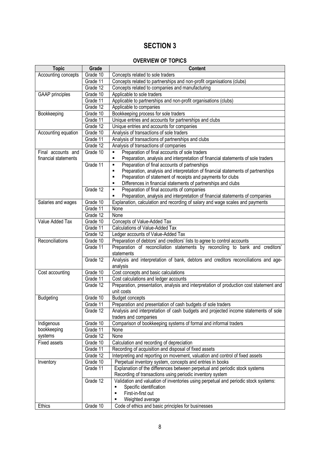# **SECTION 3**

# **OVERVIEW OF TOPICS**

| <b>Topic</b>                | Grade      | <b>Content</b>                                                                                  |
|-----------------------------|------------|-------------------------------------------------------------------------------------------------|
| Accounting concepts         | Grade 10   | Concepts related to sole traders                                                                |
|                             | Grade 11   | Concepts related to partnerships and non-profit organisations (clubs)                           |
|                             | Grade 12   | Concepts related to companies and manufacturing                                                 |
| <b>GAAP</b> principles      | Grade 10   | Applicable to sole traders                                                                      |
|                             | Grade 11   | Applicable to partnerships and non-profit organisations (clubs)                                 |
|                             | Grade $12$ | Applicable to companies                                                                         |
| Bookkeeping                 | Grade 10   | Bookkeeping process for sole traders                                                            |
|                             | Grade 11   | Unique entries and accounts for partnerships and clubs                                          |
|                             | Grade 12   | Unique entries and accounts for companies                                                       |
| Accounting equation         | Grade 10   | Analysis of transactions of sole traders                                                        |
|                             | Grade 11   | Analysis of transactions of partnerships and clubs                                              |
|                             | Grade 12   | Analysis of transactions of companies                                                           |
| Final accounts and          | Grade 10   | Preparation of final accounts of sole traders                                                   |
| financial statements        |            | Preparation, analysis and interpretation of financial statements of sole traders<br>٠           |
|                             | Grade 11   | Preparation of final accounts of partnerships<br>٠                                              |
|                             |            | Preparation, analysis and interpretation of financial statements of partnerships<br>٠           |
|                             |            | Preparation of statement of receipts and payments for clubs<br>٠                                |
|                             |            | Differences in financial statements of partnerships and clubs<br>$\blacksquare$                 |
|                             | Grade 12   | Preparation of final accounts of companies<br>×,                                                |
|                             |            | Preparation, analysis and interpretation of financial statements of companies<br>$\blacksquare$ |
| Salaries and wages          | Grade 10   | Explanation, calculation and recording of salary and wage scales and payments                   |
|                             | Grade 11   | None                                                                                            |
|                             | Grade 12   | None                                                                                            |
| Value Added Tax<br>Grade 10 |            | Concepts of Value-Added Tax                                                                     |
|                             | Grade 11   | <b>Calculations of Value-Added Tax</b>                                                          |
|                             | Grade $12$ | Ledger accounts of Value-Added Tax                                                              |
| Reconciliations             | Grade 10   | Preparation of debtors' and creditors' lists to agree to control accounts                       |
|                             | Grade 11   | Preparation of reconciliation statements by reconciling to bank and creditors'                  |
|                             |            | statements                                                                                      |
|                             | Grade 12   | Analysis and interpretation of bank, debtors and creditors reconciliations and age-             |
|                             |            | analysis                                                                                        |
| Cost accounting             | Grade 10   | Cost concepts and basic calculations                                                            |
|                             | Grade 11   | Cost calculations and ledger accounts                                                           |
|                             | Grade 12   | Preparation, presentation, analysis and interpretation of production cost statement and         |
|                             |            | unit costs                                                                                      |
| <b>Budgeting</b>            | Grade 10   | <b>Budget concepts</b>                                                                          |
|                             | Grade 11   | Preparation and presentation of cash budgets of sole traders                                    |
|                             | Grade 12   | Analysis and interpretation of cash budgets and projected income statements of sole             |
|                             |            | traders and companies                                                                           |
| Indigenous                  | Grade 10   | Comparison of bookkeeping systems of formal and informal traders                                |
| bookkeeping                 | Grade 11   | None                                                                                            |
| systems                     | Grade 12   | None                                                                                            |
| <b>Fixed assets</b>         | Grade 10   | Calculation and recording of depreciation                                                       |
|                             | Grade 11   | Recording of acquisition and disposal of fixed assets                                           |
|                             | Grade 12   | Interpreting and reporting on movement, valuation and control of fixed assets                   |
| Inventory                   | Grade 10   | Perpetual inventory system, concepts and entries in books                                       |
|                             | Grade 11   | Explanation of the differences between perpetual and periodic stock systems                     |
|                             | Grade 12   | Recording of transactions using periodic inventory system                                       |
|                             |            | Validation and valuation of inventories using perpetual and periodic stock systems:             |
|                             |            | Specific identification<br>First-in-first out<br>٠                                              |
|                             |            |                                                                                                 |
| <b>Ethics</b>               | Grade 10   | Weighted average<br>Code of ethics and basic principles for businesses                          |
|                             |            |                                                                                                 |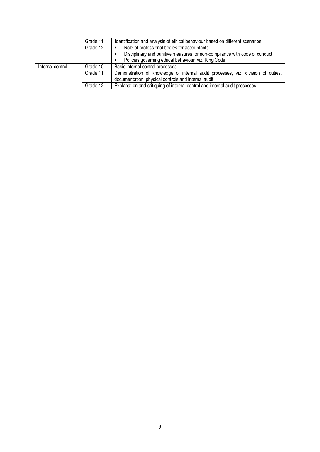|                  | Grade 11                         | Identification and analysis of ethical behaviour based on different scenarios    |  |  |  |  |
|------------------|----------------------------------|----------------------------------------------------------------------------------|--|--|--|--|
|                  | Grade 12                         | Role of professional bodies for accountants                                      |  |  |  |  |
|                  |                                  | Disciplinary and punitive measures for non-compliance with code of conduct       |  |  |  |  |
|                  |                                  | Policies governing ethical behaviour, viz. King Code                             |  |  |  |  |
| Internal control | Basic internal control processes |                                                                                  |  |  |  |  |
|                  | Grade 11                         | Demonstration of knowledge of internal audit processes, viz. division of duties, |  |  |  |  |
|                  |                                  | documentation, physical controls and internal audit                              |  |  |  |  |
|                  | Grade 12                         | Explanation and critiquing of internal control and internal audit processes      |  |  |  |  |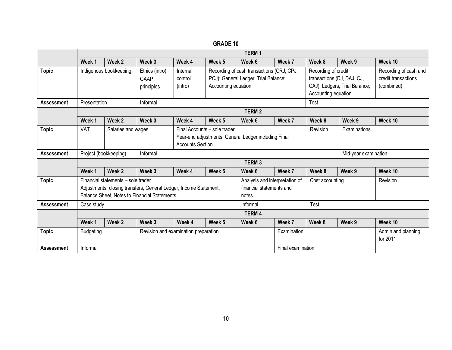|                   |                                                                                                                                                         | <b>TERM1</b>                                                                                                                          |                                      |                                |                                                                                                          |                  |                                                                               |                                                                                                           |        |                                                            |
|-------------------|---------------------------------------------------------------------------------------------------------------------------------------------------------|---------------------------------------------------------------------------------------------------------------------------------------|--------------------------------------|--------------------------------|----------------------------------------------------------------------------------------------------------|------------------|-------------------------------------------------------------------------------|-----------------------------------------------------------------------------------------------------------|--------|------------------------------------------------------------|
|                   | Week 1                                                                                                                                                  | Week 2                                                                                                                                | Week 3                               | Week 4                         | Week 5                                                                                                   | Week 6           | Week 7                                                                        | Week 8                                                                                                    | Week 9 | Week 10                                                    |
| <b>Topic</b>      | Indigenous bookkeeping<br>Ethics (intro)<br><b>GAAP</b><br>principles                                                                                   |                                                                                                                                       |                                      | Internal<br>control<br>(intro) | Recording of cash transactions (CRJ, CPJ,<br>PCJ); General Ledger, Trial Balance;<br>Accounting equation |                  |                                                                               | Recording of credit<br>transactions (DJ, DAJ, CJ,<br>CAJ); Ledgers, Trial Balance;<br>Accounting equation |        | Recording of cash and<br>credit transactions<br>(combined) |
| <b>Assessment</b> | Presentation                                                                                                                                            |                                                                                                                                       | Informal                             |                                |                                                                                                          |                  |                                                                               | Test                                                                                                      |        |                                                            |
|                   |                                                                                                                                                         |                                                                                                                                       |                                      |                                |                                                                                                          | <b>TERM2</b>     |                                                                               |                                                                                                           |        |                                                            |
|                   | Week 1                                                                                                                                                  | Week 2                                                                                                                                | Week 3                               | Week 4                         | Week 5                                                                                                   | Week 6           | Week 7                                                                        | Week 8                                                                                                    | Week 9 | Week 10                                                    |
| <b>Topic</b>      | VAT                                                                                                                                                     | Final Accounts - sole trader<br>Salaries and wages<br>Year-end adjustments, General Ledger including Final<br><b>Accounts Section</b> |                                      |                                |                                                                                                          |                  | Revision                                                                      | Examinations                                                                                              |        |                                                            |
| <b>Assessment</b> | Project (bookkeeping)<br>Informal                                                                                                                       |                                                                                                                                       |                                      |                                |                                                                                                          |                  |                                                                               | Mid-year examination                                                                                      |        |                                                            |
|                   |                                                                                                                                                         |                                                                                                                                       |                                      |                                | <b>TERM3</b>                                                                                             |                  |                                                                               |                                                                                                           |        |                                                            |
|                   | Week 1                                                                                                                                                  | Week 2                                                                                                                                | Week 3                               | Week 4                         | Week 5                                                                                                   | Week 6           | Week 7                                                                        | Week 8                                                                                                    | Week 9 | Week 10                                                    |
| <b>Topic</b>      | Financial statements - sole trader<br>Adjustments, closing transfers, General Ledger, Income Statement,<br>Balance Sheet, Notes to Financial Statements |                                                                                                                                       |                                      |                                |                                                                                                          | notes            | Analysis and interpretation of<br>Cost accounting<br>financial statements and |                                                                                                           |        | Revision                                                   |
| <b>Assessment</b> | Case study                                                                                                                                              |                                                                                                                                       |                                      |                                |                                                                                                          | Test<br>Informal |                                                                               |                                                                                                           |        |                                                            |
|                   |                                                                                                                                                         | <b>TERM4</b>                                                                                                                          |                                      |                                |                                                                                                          |                  |                                                                               |                                                                                                           |        |                                                            |
|                   | Week 1                                                                                                                                                  | Week 2                                                                                                                                | Week 3                               | Week 4                         | Week 5                                                                                                   | Week 6           | Week 7                                                                        | Week 8                                                                                                    | Week 9 | Week 10                                                    |
| <b>Topic</b>      | <b>Budgeting</b>                                                                                                                                        |                                                                                                                                       | Revision and examination preparation |                                |                                                                                                          |                  | Examination                                                                   |                                                                                                           |        | Admin and planning<br>for 2011                             |
| <b>Assessment</b> | Informal                                                                                                                                                |                                                                                                                                       |                                      |                                |                                                                                                          |                  | Final examination                                                             |                                                                                                           |        |                                                            |

**GRADE 10**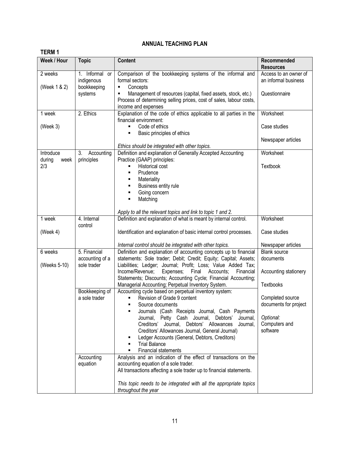## **ANNUAL TEACHING PLAN**

| <b>TERM1</b>                |                                                       |                                                                                                                                                                                                                                                                                                                                              |                                                                |
|-----------------------------|-------------------------------------------------------|----------------------------------------------------------------------------------------------------------------------------------------------------------------------------------------------------------------------------------------------------------------------------------------------------------------------------------------------|----------------------------------------------------------------|
| Week / Hour                 | <b>Topic</b>                                          | <b>Content</b>                                                                                                                                                                                                                                                                                                                               | Recommended<br><b>Resources</b>                                |
| 2 weeks<br>(Week 1 & 2)     | 1. Informal<br><b>or</b><br>indigenous<br>bookkeeping | Comparison of the bookkeeping systems of the informal and<br>formal sectors:<br>Concepts<br>٠                                                                                                                                                                                                                                                | Access to an owner of<br>an informal business<br>Questionnaire |
|                             | systems                                               | Management of resources (capital, fixed assets, stock, etc.)<br>Process of determining selling prices, cost of sales, labour costs,<br>income and expenses                                                                                                                                                                                   |                                                                |
| 1 week                      | 2. Ethics                                             | Explanation of the code of ethics applicable to all parties in the<br>financial environment:                                                                                                                                                                                                                                                 | Worksheet                                                      |
| (Week 3)                    |                                                       | Code of ethics<br>Basic principles of ethics<br>٠                                                                                                                                                                                                                                                                                            | Case studies                                                   |
|                             |                                                       | Ethics should be integrated with other topics.                                                                                                                                                                                                                                                                                               | Newspaper articles                                             |
| Introduce<br>during<br>week | 3.<br>Accounting<br>principles                        | Definition and explanation of Generally Accepted Accounting<br>Practice (GAAP) principles:                                                                                                                                                                                                                                                   | Worksheet                                                      |
| 2/3                         |                                                       | <b>Historical cost</b><br>٠<br>Prudence<br>٠                                                                                                                                                                                                                                                                                                 | Textbook                                                       |
|                             |                                                       | Materiality<br>٠<br>Business entity rule<br>٠                                                                                                                                                                                                                                                                                                |                                                                |
|                             |                                                       | Going concern<br>٠<br>Matching<br>٠                                                                                                                                                                                                                                                                                                          |                                                                |
|                             |                                                       | Apply to all the relevant topics and link to topic 1 and 2.                                                                                                                                                                                                                                                                                  |                                                                |
| 1 week                      | $4.$ Internal<br>control                              | Definition and explanation of what is meant by internal control.                                                                                                                                                                                                                                                                             | Worksheet                                                      |
| (Week $4$ )                 |                                                       | Identification and explanation of basic internal control processes.                                                                                                                                                                                                                                                                          | Case studies                                                   |
|                             |                                                       | Internal control should be integrated with other topics.                                                                                                                                                                                                                                                                                     | Newspaper articles                                             |
| 6 weeks<br>(Weeks 5-10)     | 5. Financial<br>accounting of a<br>sole trader        | Definition and explanation of accounting concepts up to financial<br>statements: Sole trader; Debit; Credit; Equity; Capital; Assets;<br>Liabilities; Ledger; Journal; Profit; Loss; Value Added Tax;                                                                                                                                        | <b>Blank source</b><br>documents                               |
|                             |                                                       | Expenses;<br>Final<br>Accounts;<br>Income/Revenue;<br>Financial<br>Statements; Discounts; Accounting Cycle; Financial Accounting;                                                                                                                                                                                                            | Accounting stationery                                          |
|                             |                                                       | Managerial Accounting; Perpetual Inventory System.<br>Accounting cycle based on perpetual inventory system:                                                                                                                                                                                                                                  | Textbooks                                                      |
|                             | Bookkeeping of<br>a sole trader                       | Revision of Grade 9 content<br>Source documents                                                                                                                                                                                                                                                                                              | Completed source<br>documents for project                      |
|                             |                                                       | Journals (Cash Receipts Journal, Cash Payments<br>٠<br>Journal, Petty Cash Journal, Debtors'<br>Journal,<br>Journal, Debtors' Allowances<br>Creditors'<br>Journal,<br>Creditors' Allowances Journal, General Journal)<br>Ledger Accounts (General, Debtors, Creditors)<br>٠<br><b>Trial Balance</b><br>٠<br><b>Financial statements</b><br>٠ | Optional:<br>Computers and<br>software                         |
|                             | Accounting<br>equation                                | Analysis and an indication of the effect of transactions on the<br>accounting equation of a sole trader.<br>All transactions affecting a sole trader up to financial statements.                                                                                                                                                             |                                                                |
|                             |                                                       | This topic needs to be integrated with all the appropriate topics<br>throughout the year                                                                                                                                                                                                                                                     |                                                                |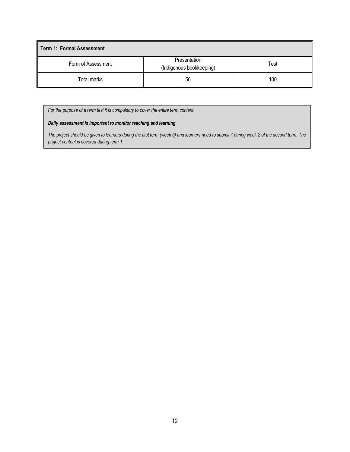| Term 1: Formal Assessment |                                          |      |  |  |  |
|---------------------------|------------------------------------------|------|--|--|--|
| Form of Assessment        | Presentation<br>(Indigenous bookkeeping) | Test |  |  |  |
| Total marks               | 50                                       | 100  |  |  |  |

*For the purpose of a term test it is compulsory to cover the entire term content.* 

## *Daily assessment is important to monitor teaching and learning*

*The project should be given to learners during the first term (week 6) and learners need to submit it during week 2 of the second term. The project content is covered during term 1.*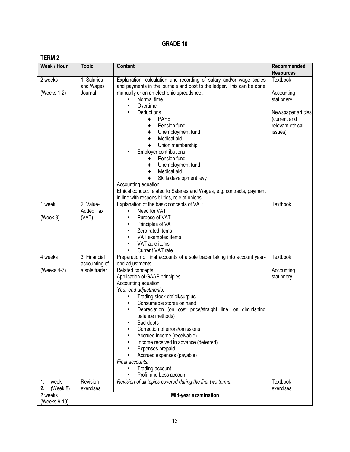## **TERM 2**

| Week / Hour                  | <b>Topic</b>          | Content                                                                       | Recommended<br><b>Resources</b> |
|------------------------------|-----------------------|-------------------------------------------------------------------------------|---------------------------------|
| 2 weeks                      | 1. Salaries           | Explanation, calculation and recording of salary and/or wage scales           | Textbook                        |
|                              | and Wages             | and payments in the journals and post to the ledger. This can be done         |                                 |
| (Weeks 1-2)                  | Journal               | manually or on an electronic spreadsheet.                                     | Accounting                      |
|                              |                       | Normal time                                                                   | stationery                      |
|                              |                       | Overtime                                                                      |                                 |
|                              |                       | Deductions                                                                    | Newspaper articles              |
|                              |                       | <b>PAYE</b><br>٠                                                              | (current and                    |
|                              |                       | Pension fund                                                                  | relevant ethical                |
|                              |                       | Unemployment fund                                                             | issues)                         |
|                              |                       | Medical aid                                                                   |                                 |
|                              |                       | Union membership<br>Employer contributions                                    |                                 |
|                              |                       | Pension fund                                                                  |                                 |
|                              |                       | Unemployment fund                                                             |                                 |
|                              |                       | Medical aid                                                                   |                                 |
|                              |                       | Skills development levy                                                       |                                 |
|                              |                       | Accounting equation                                                           |                                 |
|                              |                       | Ethical conduct related to Salaries and Wages, e.g. contracts, payment        |                                 |
|                              |                       | in line with responsibilities, role of unions                                 |                                 |
| 1 week                       | 2. Value-             | Explanation of the basic concepts of VAT:                                     | Textbook                        |
|                              | <b>Added Tax</b>      | Need for VAT                                                                  |                                 |
| (Week 3)                     | (VAT)                 | Purpose of VAT                                                                |                                 |
|                              |                       | Principles of VAT<br>٠                                                        |                                 |
|                              |                       | Zero-rated items                                                              |                                 |
|                              |                       | VAT exempted items<br>VAT-able items                                          |                                 |
|                              |                       | Current VAT rate                                                              |                                 |
| 4 weeks                      | 3. Financial          | Preparation of final accounts of a sole trader taking into account year-      | <b>Textbook</b>                 |
|                              | accounting of         | end adjustments                                                               |                                 |
| (Weeks 4-7)                  | a sole trader         | Related concepts                                                              | Accounting                      |
|                              |                       | Application of GAAP principles                                                | stationery                      |
|                              |                       | Accounting equation                                                           |                                 |
|                              |                       | Year-end adjustments:                                                         |                                 |
|                              |                       | Trading stock deficit/surplus                                                 |                                 |
|                              |                       | Consumable stores on hand                                                     |                                 |
|                              |                       | Depreciation (on cost price/straight line, on diminishing<br>balance methods) |                                 |
|                              |                       | Bad debts                                                                     |                                 |
|                              |                       | Correction of errors/omissions                                                |                                 |
|                              |                       | Accrued income (receivable)                                                   |                                 |
|                              |                       | Income received in advance (deferred)                                         |                                 |
|                              |                       | Expenses prepaid                                                              |                                 |
|                              |                       | Accrued expenses (payable)                                                    |                                 |
|                              |                       | Final accounts:                                                               |                                 |
|                              |                       | Trading account                                                               |                                 |
|                              |                       | Profit and Loss account                                                       |                                 |
| week<br>1.<br>(Week 8)<br>2. | Revision<br>exercises | Revision of all topics covered during the first two terms.                    | Textbook<br>exercises           |
| 2 weeks                      |                       |                                                                               |                                 |
|                              |                       | Mid-year examination                                                          |                                 |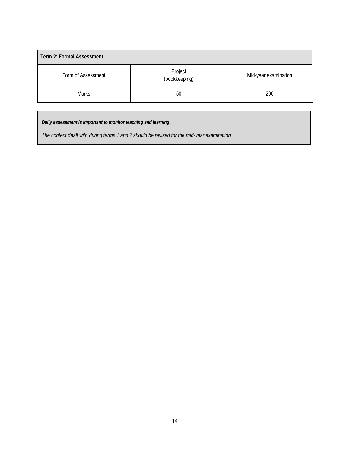| <b>Term 2: Formal Assessment</b> |                          |                      |  |  |  |
|----------------------------------|--------------------------|----------------------|--|--|--|
| Form of Assessment               | Project<br>(bookkeeping) | Mid-year examination |  |  |  |
| Marks                            | 50                       | 200                  |  |  |  |

*Daily assessment is important to monitor teaching and learning.*

*The content dealt with during terms 1 and 2 should be revised for the mid-year examination.*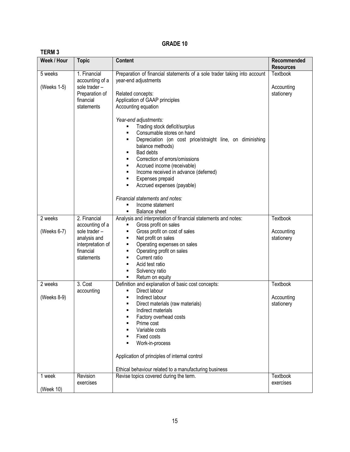|--|--|

| ט ואורום ו<br>Week / Hour | <b>Topic</b>                                                                                                     | <b>Content</b>                                                                                                                                                                                                                                                                                                                                                                                                                                                                                                                                                                                        | Recommended                          |
|---------------------------|------------------------------------------------------------------------------------------------------------------|-------------------------------------------------------------------------------------------------------------------------------------------------------------------------------------------------------------------------------------------------------------------------------------------------------------------------------------------------------------------------------------------------------------------------------------------------------------------------------------------------------------------------------------------------------------------------------------------------------|--------------------------------------|
|                           |                                                                                                                  |                                                                                                                                                                                                                                                                                                                                                                                                                                                                                                                                                                                                       | <b>Resources</b>                     |
| 5 weeks<br>(Weeks 1-5)    | 1. Financial<br>accounting of a<br>sole trader -<br>Preparation of<br>financial<br>statements                    | Preparation of financial statements of a sole trader taking into account<br>year-end adjustments<br>Related concepts:<br>Application of GAAP principles<br>Accounting equation<br>Year-end adjustments:<br>Trading stock deficit/surplus<br>Consumable stores on hand<br>$\blacksquare$<br>Depreciation (on cost price/straight line, on diminishing<br>balance methods)<br><b>Bad debts</b><br>٠<br>Correction of errors/omissions<br>Accrued income (receivable)<br>Income received in advance (deferred)<br>٠<br>Expenses prepaid<br>Accrued expenses (payable)<br>Financial statements and notes: | Textbook<br>Accounting<br>stationery |
|                           |                                                                                                                  | Income statement<br>٠                                                                                                                                                                                                                                                                                                                                                                                                                                                                                                                                                                                 |                                      |
| 2 weeks<br>(Weeks 6-7)    | 2. Financial<br>accounting of a<br>sole trader -<br>analysis and<br>interpretation of<br>financial<br>statements | <b>Balance sheet</b><br>Analysis and interpretation of financial statements and notes:<br>Gross profit on sales<br>٠<br>Gross profit on cost of sales<br>٠<br>Net profit on sales<br>٠<br>Operating expenses on sales<br>٠<br>Operating profit on sales<br>٠<br>Current ratio<br>٠<br>Acid test ratio<br>Solvency ratio<br>٠<br>Return on equity<br>٠                                                                                                                                                                                                                                                 | Textbook<br>Accounting<br>stationery |
| 2 weeks<br>(Weeks 8-9)    | 3. Cost<br>accounting                                                                                            | Definition and explanation of basic cost concepts:<br>Direct labour<br>٠<br>Indirect labour<br>٠<br>Direct materials (raw materials)<br>٠<br>Indirect materials<br>Factory overhead costs<br>Prime cost<br>Variable costs<br>Fixed costs<br>Work-in-process<br>Application of principles of internal control<br>Ethical behaviour related to a manufacturing business                                                                                                                                                                                                                                 | Textbook<br>Accounting<br>stationery |
| 1 week<br>(Week 10)       | Revision<br>exercises                                                                                            | Revise topics covered during the term.                                                                                                                                                                                                                                                                                                                                                                                                                                                                                                                                                                | Textbook<br>exercises                |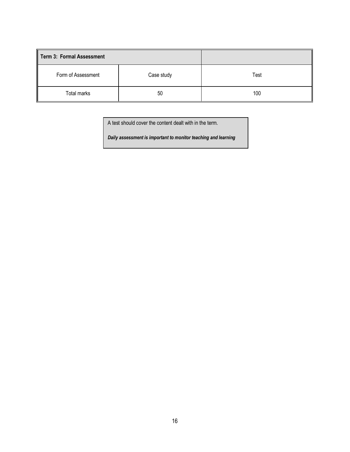| <b>Term 3: Formal Assessment</b> |            |      |
|----------------------------------|------------|------|
| Form of Assessment               | Case study | Test |
| Total marks                      | 50         | 100  |

A test should cover the content dealt with in the term.

*Daily assessment is important to monitor teaching and learning*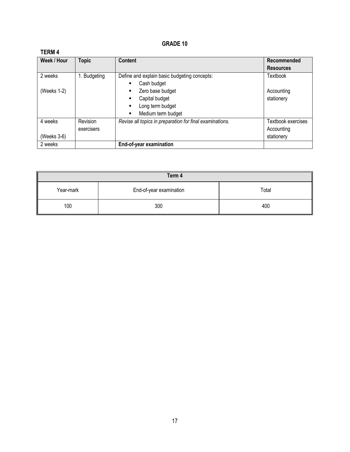# **TERM 4**

| Week / Hour | <b>Topic</b> | <b>Content</b>                                           | Recommended        |
|-------------|--------------|----------------------------------------------------------|--------------------|
|             |              |                                                          | <b>Resources</b>   |
| 2 weeks     | Budgeting    | Define and explain basic budgeting concepts:             | Textbook           |
|             |              | Cash budget<br>٠                                         |                    |
| (Weeks 1-2) |              | Zero base budget<br>٠                                    | Accounting         |
|             |              | Capital budget                                           | stationery         |
|             |              | Long term budget<br>٠                                    |                    |
|             |              | Medium term budget<br>٠                                  |                    |
| 4 weeks     | Revision     | Revise all topics in preparation for final examinations. | Textbook exercises |
|             | exercisers   |                                                          | Accounting         |
| (Weeks 3-6) |              |                                                          | stationery         |
| 2 weeks     |              | End-of-year examination                                  |                    |

| Term 4    |                         |       |  |  |
|-----------|-------------------------|-------|--|--|
| Year-mark | End-of-year examination | Total |  |  |
| 100       | 300                     | 400   |  |  |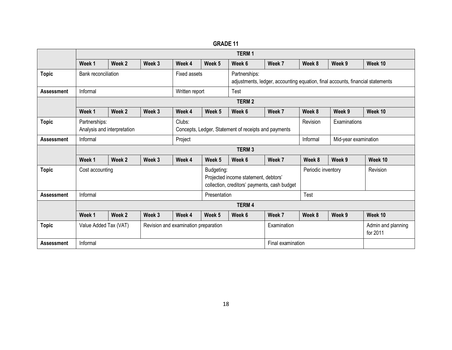|                   |                                                                                                                       | <b>TERM1</b> |                               |                |                                                                                |              |                    |          |                                |         |
|-------------------|-----------------------------------------------------------------------------------------------------------------------|--------------|-------------------------------|----------------|--------------------------------------------------------------------------------|--------------|--------------------|----------|--------------------------------|---------|
|                   | Week 1                                                                                                                | Week 2       | Week 3                        | Week 4         | Week 5                                                                         | Week 6       | Week 7             | Week 8   | Week 9                         | Week 10 |
| <b>Topic</b>      | <b>Bank reconciliation</b>                                                                                            |              | Fixed assets<br>Partnerships: |                | adjustments, ledger, accounting equation, final accounts, financial statements |              |                    |          |                                |         |
| <b>Assessment</b> | Informal                                                                                                              |              |                               | Written report |                                                                                | Test         |                    |          |                                |         |
|                   |                                                                                                                       |              |                               |                |                                                                                | <b>TERM2</b> |                    |          |                                |         |
|                   | Week 1                                                                                                                | Week 2       | Week 3                        | Week 4         | Week 5                                                                         | Week 6       | Week 7             | Week 8   | Week 9                         | Week 10 |
| <b>Topic</b>      | Partnerships:<br>Clubs:<br>Analysis and interpretation<br>Concepts, Ledger, Statement of receipts and payments        |              |                               |                |                                                                                | Revision     | Examinations       |          |                                |         |
| <b>Assessment</b> | Informal                                                                                                              |              |                               | Project        |                                                                                |              |                    | Informal | Mid-year examination           |         |
|                   |                                                                                                                       |              |                               |                |                                                                                | <b>TERM3</b> |                    |          |                                |         |
|                   | Week 1                                                                                                                | Week 2       | Week 3                        | Week 4         | Week 5                                                                         | Week 6       | Week 7             | Week 8   | Week 9                         | Week 10 |
| <b>Topic</b>      | Budgeting:<br>Cost accounting<br>Projected income statement, debtors'<br>collection, creditors' payments, cash budget |              |                               |                |                                                                                |              | Periodic inventory |          | Revision                       |         |
| <b>Assessment</b> | Informal                                                                                                              |              |                               |                | Presentation                                                                   |              |                    | Test     |                                |         |
|                   |                                                                                                                       |              |                               |                |                                                                                | <b>TERM4</b> |                    |          |                                |         |
|                   | Week 1                                                                                                                | Week 2       | Week 3                        | Week 4         | Week 5                                                                         | Week 6       | Week 7             | Week 8   | Week 9                         | Week 10 |
| <b>Topic</b>      | Value Added Tax (VAT)<br>Revision and examination preparation                                                         |              |                               |                |                                                                                | Examination  |                    |          | Admin and planning<br>for 2011 |         |
| <b>Assessment</b> | Informal                                                                                                              |              |                               |                |                                                                                |              | Final examination  |          |                                |         |

**GRADE 11**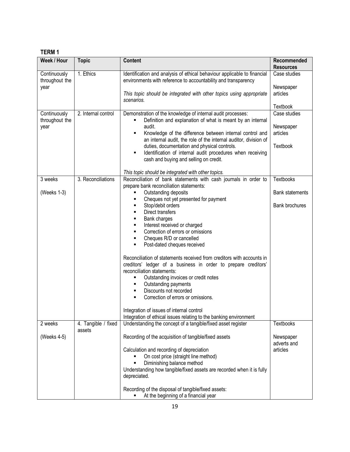# **TERM 1**

| Week / Hour                            | <b>Topic</b>                  | <b>Content</b>                                                                                                                                                                                                                                                                                                                                                                                                                                                                                                                                                                                                                                                                                                                                                                                                                                | Recommended<br><b>Resources</b>                               |
|----------------------------------------|-------------------------------|-----------------------------------------------------------------------------------------------------------------------------------------------------------------------------------------------------------------------------------------------------------------------------------------------------------------------------------------------------------------------------------------------------------------------------------------------------------------------------------------------------------------------------------------------------------------------------------------------------------------------------------------------------------------------------------------------------------------------------------------------------------------------------------------------------------------------------------------------|---------------------------------------------------------------|
| Continuously<br>throughout the<br>year | 1. Ethics                     | Identification and analysis of ethical behaviour applicable to financial<br>environments with reference to accountability and transparency<br>This topic should be integrated with other topics using appropriate<br>scenarios.                                                                                                                                                                                                                                                                                                                                                                                                                                                                                                                                                                                                               | Case studies<br>Newspaper<br>articles                         |
| Continuously<br>throughout the<br>year | 2. Internal control           | Demonstration of the knowledge of internal audit processes:<br>Definition and explanation of what is meant by an internal<br>audit.<br>Knowledge of the difference between internal control and<br>٠<br>an internal audit, the role of the internal auditor, division of<br>duties, documentation and physical controls.<br>Identification of internal audit procedures when receiving<br>٠<br>cash and buying and selling on credit.<br>This topic should be integrated with other topics.                                                                                                                                                                                                                                                                                                                                                   | Textbook<br>Case studies<br>Newspaper<br>articles<br>Textbook |
| 3 weeks<br>(Weeks 1-3)                 | 3. Reconciliations            | Reconciliation of bank statements with cash journals in order to<br>prepare bank reconciliation statements:<br>Outstanding deposits<br>Cheques not yet presented for payment<br>٠<br>Stop/debit orders<br>Ξ<br>Direct transfers<br>٠<br>Bank charges<br>٠<br>Interest received or charged<br>٠<br>Correction of errors or omissions<br>Cheques R/D or cancelled<br>٠<br>Post-dated cheques received<br>Reconciliation of statements received from creditors with accounts in<br>creditors' ledger of a business in order to prepare creditors'<br>reconciliation statements:<br>Outstanding invoices or credit notes<br>Ξ<br>Outstanding payments<br>٠<br>Discounts not recorded<br>٠<br>Correction of errors or omissions.<br>Integration of issues of internal control<br>Integration of ethical issues relating to the banking environment | Textbooks<br><b>Bank statements</b><br>Bank brochures         |
| 2 weeks<br>(Weeks 4-5)                 | 4. Tangible / fixed<br>assets | Understanding the concept of a tangible/fixed asset register<br>Recording of the acquisition of tangible/fixed assets<br>Calculation and recording of depreciation<br>On cost price (straight line method)<br>Diminishing balance method<br>Understanding how tangible/fixed assets are recorded when it is fully<br>depreciated.                                                                                                                                                                                                                                                                                                                                                                                                                                                                                                             | Textbooks<br>Newspaper<br>adverts and<br>articles             |
|                                        |                               | Recording of the disposal of tangible/fixed assets:<br>At the beginning of a financial year                                                                                                                                                                                                                                                                                                                                                                                                                                                                                                                                                                                                                                                                                                                                                   |                                                               |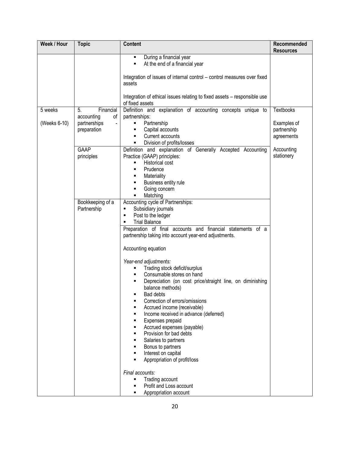| Week / Hour             | <b>Topic</b>                                                                                                                | <b>Content</b>                                                                                                                                                                                                                                                                                                                                                                                                                                                                                                                                                                                                                                                                                                                                                                                                                                                                                                                                                                                                                                                                                                                                                                                                                                       | Recommended<br><b>Resources</b>                                                          |
|-------------------------|-----------------------------------------------------------------------------------------------------------------------------|------------------------------------------------------------------------------------------------------------------------------------------------------------------------------------------------------------------------------------------------------------------------------------------------------------------------------------------------------------------------------------------------------------------------------------------------------------------------------------------------------------------------------------------------------------------------------------------------------------------------------------------------------------------------------------------------------------------------------------------------------------------------------------------------------------------------------------------------------------------------------------------------------------------------------------------------------------------------------------------------------------------------------------------------------------------------------------------------------------------------------------------------------------------------------------------------------------------------------------------------------|------------------------------------------------------------------------------------------|
|                         |                                                                                                                             | During a financial year<br>٠<br>At the end of a financial year<br>٠<br>Integration of issues of internal control - control measures over fixed<br>assets                                                                                                                                                                                                                                                                                                                                                                                                                                                                                                                                                                                                                                                                                                                                                                                                                                                                                                                                                                                                                                                                                             |                                                                                          |
|                         |                                                                                                                             | Integration of ethical issues relating to fixed assets - responsible use<br>of fixed assets                                                                                                                                                                                                                                                                                                                                                                                                                                                                                                                                                                                                                                                                                                                                                                                                                                                                                                                                                                                                                                                                                                                                                          |                                                                                          |
| 5 weeks<br>(Weeks 6-10) | Financial<br>5.<br>of<br>accounting<br>partnerships<br>preparation<br>GAAP<br>principles<br>Bookkeeping of a<br>Partnership | Definition and explanation of accounting concepts unique to<br>partnerships:<br>Partnership<br>٠<br>Capital accounts<br>٠<br>Current accounts<br>٠<br>Division of profits/losses<br>٠<br>Definition and explanation of Generally Accepted Accounting<br>Practice (GAAP) principles:<br><b>Historical cost</b><br>٠<br>Prudence<br>٠<br>Materiality<br>٠<br>Business entity rule<br>٠<br>Going concern<br>٠<br>Matching<br>$\blacksquare$<br>Accounting cycle of Partnerships:<br>Subsidiary journals<br>٠<br>Post to the ledger<br>٠<br><b>Trial Balance</b><br>٠<br>Preparation of final accounts and financial statements of a<br>partnership taking into account year-end adjustments.<br>Accounting equation<br>Year-end adjustments:<br>Trading stock deficit/surplus<br>٠<br>Consumable stores on hand<br>Depreciation (on cost price/straight line, on diminishing<br>٠<br>balance methods)<br>Bad debts<br>Correction of errors/omissions<br>٠<br>Accrued income (receivable)<br>Income received in advance (deferred)<br>Expenses prepaid<br>Accrued expenses (payable)<br>Provision for bad debts<br>Salaries to partners<br>Bonus to partners<br>Interest on capital<br>Appropriation of profit/loss<br>$\blacksquare$<br>Final accounts: | <b>Textbooks</b><br>Examples of<br>partnership<br>agreements<br>Accounting<br>stationery |
|                         |                                                                                                                             | Trading account<br>Ξ<br>Profit and Loss account<br>Appropriation account                                                                                                                                                                                                                                                                                                                                                                                                                                                                                                                                                                                                                                                                                                                                                                                                                                                                                                                                                                                                                                                                                                                                                                             |                                                                                          |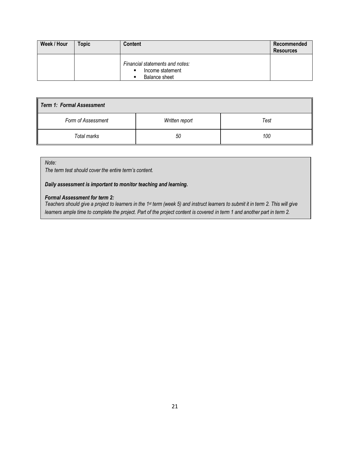| Week / Hour | <b>Topic</b> | <b>Content</b>                                                                        | Recommended<br><b>Resources</b> |
|-------------|--------------|---------------------------------------------------------------------------------------|---------------------------------|
|             |              | Financial statements and notes:<br>Income statement<br>п<br><b>Balance sheet</b><br>п |                                 |

| Term 1: Formal Assessment |                |      |  |  |
|---------------------------|----------------|------|--|--|
| Form of Assessment        | Written report | Test |  |  |
| Total marks               | 50             | 100  |  |  |

*Note:*

*The term test should cover the entire term's content.* 

*Daily assessment is important to monitor teaching and learning.*

#### *Formal Assessment for term 2:*

*Teachers should give a project to learners in the 1st term (week 5) and instruct learners to submit it in term 2. This will give learners ample time to complete the project. Part of the project content is covered in term 1 and another part in term 2.*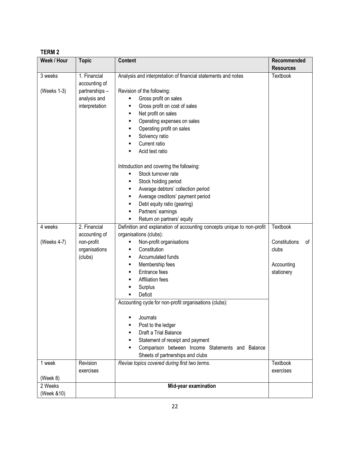# **TERM 2**

| Week / Hour | <b>Topic</b>   | <b>Content</b>                                                         | Recommended         |
|-------------|----------------|------------------------------------------------------------------------|---------------------|
|             |                |                                                                        | <b>Resources</b>    |
| 3 weeks     | 1. Financial   | Analysis and interpretation of financial statements and notes          | Textbook            |
|             | accounting of  |                                                                        |                     |
| (Weeks 1-3) | partnerships - | Revision of the following:                                             |                     |
|             | analysis and   | Gross profit on sales<br>٠                                             |                     |
|             | interpretation | Gross profit on cost of sales<br>٠                                     |                     |
|             |                | Net profit on sales<br>٠                                               |                     |
|             |                | Operating expenses on sales<br>٠                                       |                     |
|             |                | Operating profit on sales<br>٠                                         |                     |
|             |                | Solvency ratio<br>٠<br>Current ratio                                   |                     |
|             |                | ٠<br>Acid test ratio<br>п                                              |                     |
|             |                |                                                                        |                     |
|             |                | Introduction and covering the following:                               |                     |
|             |                | Stock turnover rate<br>٠                                               |                     |
|             |                | Stock holding period<br>٠                                              |                     |
|             |                | Average debtors' collection period<br>٠                                |                     |
|             |                | Average creditors' payment period<br>٠                                 |                     |
|             |                | Debt equity ratio (gearing)<br>٠                                       |                     |
|             |                | Partners' earnings<br>٠                                                |                     |
|             |                | Return on partners' equity<br>٠                                        |                     |
| 4 weeks     | 2. Financial   | Definition and explanation of accounting concepts unique to non-profit | <b>Textbook</b>     |
|             | accounting of  | organisations (clubs):                                                 |                     |
| (Weeks 4-7) | non-profit     | Non-profit organisations<br>п                                          | Constitutions<br>οf |
|             | organisations  | Constitution<br>٠                                                      | clubs               |
|             | (clubs)        | Accumulated funds<br>٠                                                 |                     |
|             |                | Membership fees<br>٠                                                   | Accounting          |
|             |                | Entrance fees<br>٠                                                     | stationery          |
|             |                | Affiliation fees<br>п                                                  |                     |
|             |                | Surplus<br>٠                                                           |                     |
|             |                | Deficit<br>$\blacksquare$                                              |                     |
|             |                | Accounting cycle for non-profit organisations (clubs):                 |                     |
|             |                | Journals<br>٠                                                          |                     |
|             |                | Post to the ledger<br>٠                                                |                     |
|             |                | Draft a Trial Balance<br>٠                                             |                     |
|             |                | Statement of receipt and payment<br>٠                                  |                     |
|             |                | Comparison between Income Statements and Balance<br>$\blacksquare$     |                     |
|             |                | Sheets of partnerships and clubs                                       |                     |
| 1 week      | Revision       | Revise topics covered during first two terms.                          | <b>Textbook</b>     |
|             | exercises      |                                                                        | exercises           |
| (Week 8)    |                |                                                                        |                     |
| 2 Weeks     |                | Mid-year examination                                                   |                     |
| (Week &10)  |                |                                                                        |                     |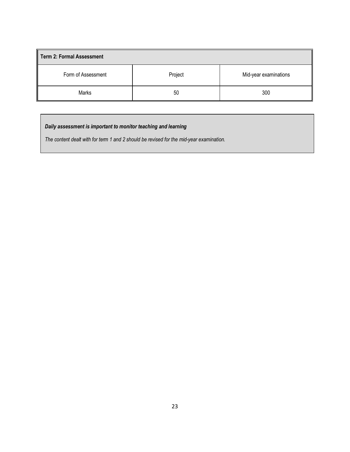| Term 2: Formal Assessment |         |                       |  |  |  |  |
|---------------------------|---------|-----------------------|--|--|--|--|
| Form of Assessment        | Project | Mid-year examinations |  |  |  |  |
| Marks                     | 50      | 300                   |  |  |  |  |

# *Daily assessment is important to monitor teaching and learning*

*The content dealt with for term 1 and 2 should be revised for the mid-year examination.*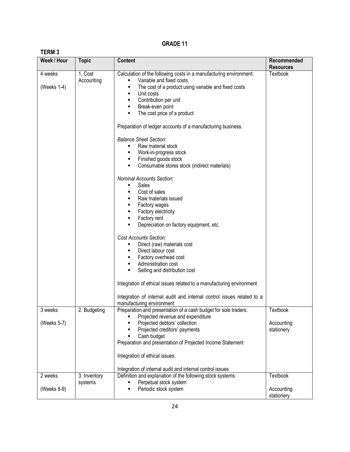| ð |  |
|---|--|
|---|--|

| Week / Hour            | <b>Topic</b>            | <b>Content</b>                                                                                                                                                                                                                              | Recommended              |
|------------------------|-------------------------|---------------------------------------------------------------------------------------------------------------------------------------------------------------------------------------------------------------------------------------------|--------------------------|
|                        |                         |                                                                                                                                                                                                                                             | <b>Resources</b>         |
| 4 weeks<br>(Weeks 1-4) | 1. Cost<br>Accounting   | Calculation of the following costs in a manufacturing environment:<br>Variable and fixed costs<br>The cost of a product using variable and fixed costs<br>п<br>Unit costs<br>Contribution per unit<br>Break-even point                      | Textbook                 |
|                        |                         | The cost price of a product<br>Preparation of ledger accounts of a manufacturing business.<br><b>Balance Sheet Section:</b><br>Raw material stock<br>Work-in-progress stock                                                                 |                          |
|                        |                         | Finished goods stock<br>Consumable stores stock (indirect materials)<br>п                                                                                                                                                                   |                          |
|                        |                         | <b>Nominal Accounts Section:</b><br>Sales<br>٠<br>Cost of sales<br>Raw materials issued<br>Factory wages<br>Factory electricity<br>Factory rent<br>٠<br>Depreciation on factory equipment, etc.                                             |                          |
|                        |                         | <b>Cost Accounts Section:</b><br>Direct (raw) materials cost<br>Direct labour cost<br>Factory overhead cost<br>Administration cost<br>Selling and distribution cost<br>Integration of ethical issues related to a manufacturing environment |                          |
|                        |                         | Integration of internal audit and internal control issues related to a<br>manufacturing environment                                                                                                                                         |                          |
| 3 weeks                | 2. Budgeting            | Preparation and presentation of a cash budget for sole traders:<br>Projected revenue and expenditure                                                                                                                                        | Textbook                 |
| (Weeks 5-7)            |                         | Projected debtors' collection<br>Projected creditors' payments<br>Cash budget<br>Preparation and presentation of Projected Income Statement<br>Integration of ethical issues.                                                               | Accounting<br>stationery |
|                        |                         | Integration of internal audit and internal control issues                                                                                                                                                                                   |                          |
| 2 weeks                | 3. Inventory<br>systems | Definition and explanation of the following stock systems:<br>Perpetual stock system                                                                                                                                                        | Textbook                 |
| (Weeks 8-9)            |                         | Periodic stock system                                                                                                                                                                                                                       | Accounting<br>stationery |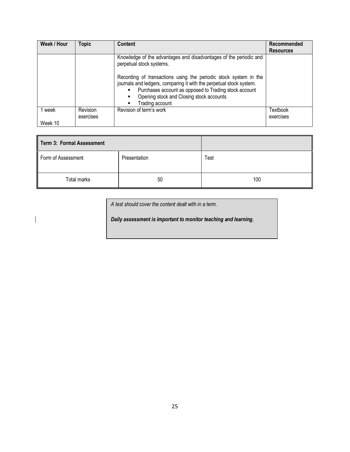| Week / Hour | <b>Topic</b>          | <b>Content</b>                                                                                                                                                                                                                                                  | Recommended           |
|-------------|-----------------------|-----------------------------------------------------------------------------------------------------------------------------------------------------------------------------------------------------------------------------------------------------------------|-----------------------|
|             |                       |                                                                                                                                                                                                                                                                 | <b>Resources</b>      |
|             |                       | Knowledge of the advantages and disadvantages of the periodic and<br>perpetual stock systems.                                                                                                                                                                   |                       |
|             |                       | Recording of transactions using the periodic stock system in the<br>journals and ledgers, comparing it with the perpetual stock system.<br>Purchases account as opposed to Trading stock account<br>Opening stock and Closing stock accounts<br>Trading account |                       |
| 1 week      | Revision<br>exercises | Revision of term's work                                                                                                                                                                                                                                         | Textbook<br>exercises |
| Week 10     |                       |                                                                                                                                                                                                                                                                 |                       |

| Term 3: Formal Assessment |              |      |
|---------------------------|--------------|------|
| Form of Assessment        | Presentation | Test |
| Total marks               | 50           | 100  |

*A test should cover the content dealt with in a term.* 

*Daily assessment is important to monitor teaching and learning.*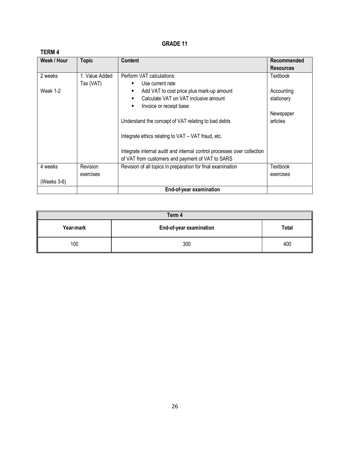| Week / Hour | <b>Topic</b>   | <b>Content</b>                                                          | Recommended      |
|-------------|----------------|-------------------------------------------------------------------------|------------------|
|             |                |                                                                         | <b>Resources</b> |
| 2 weeks     | 1. Value Added | Perform VAT calculations:                                               | Textbook         |
|             | Tax (VAT)      | Use current rate                                                        |                  |
| Week 1-2    |                | Add VAT to cost price plus mark-up amount<br>٠                          | Accounting       |
|             |                | Calculate VAT on VAT inclusive amount                                   | stationery       |
|             |                | Invoice or receipt base<br>٠                                            |                  |
|             |                |                                                                         | Newspaper        |
|             |                | Understand the concept of VAT relating to bad debts                     | articles         |
|             |                |                                                                         |                  |
|             |                | Integrate ethics relating to VAT - VAT fraud, etc.                      |                  |
|             |                |                                                                         |                  |
|             |                | Integrate internal audit and internal control processes over collection |                  |
|             |                | of VAT from customers and payment of VAT to SARS                        |                  |
| 4 weeks     | Revision       | Revision of all topics in preparation for final examination             | Textbook         |
|             | exercises      |                                                                         | exercises        |
| (Weeks 3-6) |                |                                                                         |                  |
|             |                | End-of-year examination                                                 |                  |

| Term 4    |                         |       |  |  |  |
|-----------|-------------------------|-------|--|--|--|
| Year-mark | End-of-year examination | Total |  |  |  |
| 100       | 300                     | 400   |  |  |  |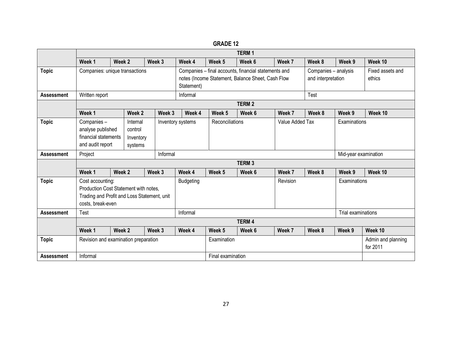|                   | <b>TERM1</b>                                                                                                                  |        |        |        |                   |                                                                                                                         |                   |                 |                                            |              |                            |                                |
|-------------------|-------------------------------------------------------------------------------------------------------------------------------|--------|--------|--------|-------------------|-------------------------------------------------------------------------------------------------------------------------|-------------------|-----------------|--------------------------------------------|--------------|----------------------------|--------------------------------|
|                   | Week 1                                                                                                                        | Week 2 |        | Week 3 |                   | Week 4                                                                                                                  | Week 5            | Week 6          | Week 7                                     | Week 8       | Week 9                     | Week 10                        |
| <b>Topic</b>      | Companies: unique transactions                                                                                                |        |        |        |                   | Companies - final accounts, financial statements and<br>notes (Income Statement, Balance Sheet, Cash Flow<br>Statement) |                   |                 | Companies - analysis<br>and interpretation |              | Fixed assets and<br>ethics |                                |
| <b>Assessment</b> | Informal<br>Written report                                                                                                    |        |        |        |                   |                                                                                                                         |                   |                 |                                            | Test         |                            |                                |
|                   |                                                                                                                               |        |        |        |                   |                                                                                                                         |                   | <b>TERM2</b>    |                                            |              |                            |                                |
|                   | Week 1                                                                                                                        |        | Week 2 |        | Week 3            | Week 4                                                                                                                  | Week 5            | Week 6          | Week 7                                     | Week 8       | Week 9                     | Week 10                        |
| <b>Topic</b>      | Companies-<br>Internal<br>analyse published<br>control<br>financial statements<br>Inventory<br>and audit report<br>systems    |        |        |        | Inventory systems | Reconciliations                                                                                                         |                   | Value Added Tax |                                            | Examinations |                            |                                |
| <b>Assessment</b> | Project                                                                                                                       |        |        |        | Informal          |                                                                                                                         |                   |                 |                                            |              | Mid-year examination       |                                |
|                   |                                                                                                                               |        |        |        |                   |                                                                                                                         |                   | <b>TERM3</b>    |                                            |              |                            |                                |
|                   | Week 1                                                                                                                        | Week 2 |        | Week 3 |                   | Week 4                                                                                                                  | Week 5            | Week 6          | Week 7                                     | Week 8       | Week 9                     | Week 10                        |
| <b>Topic</b>      | Cost accounting:<br>Production Cost Statement with notes,<br>Trading and Profit and Loss Statement, unit<br>costs, break-even |        |        |        |                   | <b>Budgeting</b>                                                                                                        |                   |                 | Revision                                   |              | Examinations               |                                |
| <b>Assessment</b> | <b>Test</b>                                                                                                                   |        |        |        |                   | Informal                                                                                                                |                   |                 |                                            |              | Trial examinations         |                                |
|                   | <b>TERM4</b>                                                                                                                  |        |        |        |                   |                                                                                                                         |                   |                 |                                            |              |                            |                                |
|                   | Week 1                                                                                                                        | Week 2 |        | Week 3 |                   | Week 4                                                                                                                  | Week <sub>5</sub> | Week 6          | Week 7                                     | Week 8       | Week 9                     | Week 10                        |
| <b>Topic</b>      | Revision and examination preparation                                                                                          |        |        |        |                   |                                                                                                                         | Examination       |                 |                                            |              |                            | Admin and planning<br>for 2011 |
| <b>Assessment</b> | Informal                                                                                                                      |        |        |        |                   |                                                                                                                         | Final examination |                 |                                            |              |                            |                                |

**GRADE 12**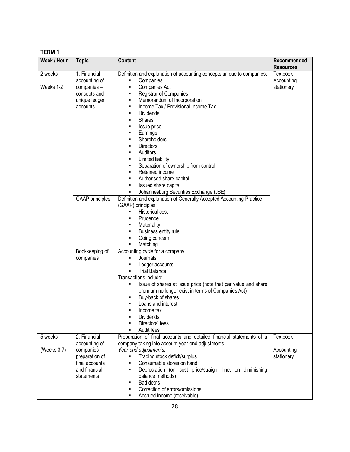# **TERM 1**

| Week / Hour | <b>Topic</b>           | <b>Content</b>                                                         | Recommended      |
|-------------|------------------------|------------------------------------------------------------------------|------------------|
|             |                        |                                                                        | <b>Resources</b> |
| 2 weeks     | 1. Financial           | Definition and explanation of accounting concepts unique to companies: | <b>Textbook</b>  |
|             | accounting of          | Companies                                                              | Accounting       |
| Weeks 1-2   | companies -            | Companies Act<br>٠                                                     | stationery       |
|             | concepts and           | Registrar of Companies<br>٠                                            |                  |
|             | unique ledger          | Memorandum of Incorporation<br>٠                                       |                  |
|             | accounts               | Income Tax / Provisional Income Tax<br>٠                               |                  |
|             |                        | <b>Dividends</b><br>٠                                                  |                  |
|             |                        | <b>Shares</b><br>٠                                                     |                  |
|             |                        | Issue price<br>٠                                                       |                  |
|             |                        | Earnings<br>٠                                                          |                  |
|             |                        | Shareholders<br>П                                                      |                  |
|             |                        | <b>Directors</b><br>٠                                                  |                  |
|             |                        | Auditors<br>٠                                                          |                  |
|             |                        | Limited liability<br>٠                                                 |                  |
|             |                        | Separation of ownership from control<br>٠                              |                  |
|             |                        | Retained income<br>٠                                                   |                  |
|             |                        | Authorised share capital<br>٠                                          |                  |
|             |                        | Issued share capital<br>٠                                              |                  |
|             |                        | Johannesburg Securities Exchange (JSE)<br>٠                            |                  |
|             | <b>GAAP</b> principles | Definition and explanation of Generally Accepted Accounting Practice   |                  |
|             |                        | (GAAP) principles:                                                     |                  |
|             |                        | Historical cost<br>٠                                                   |                  |
|             |                        | Prudence                                                               |                  |
|             |                        | Materiality<br>Ξ                                                       |                  |
|             |                        | Business entity rule<br>٠                                              |                  |
|             |                        | Going concern<br>٠                                                     |                  |
|             |                        | Matching<br>п                                                          |                  |
|             | Bookkeeping of         | Accounting cycle for a company:                                        |                  |
|             | companies              | Journals                                                               |                  |
|             |                        | Ledger accounts                                                        |                  |
|             |                        | <b>Trial Balance</b><br>٠                                              |                  |
|             |                        | Transactions include:                                                  |                  |
|             |                        | Issue of shares at issue price (note that par value and share          |                  |
|             |                        | premium no longer exist in terms of Companies Act)                     |                  |
|             |                        | Buy-back of shares<br>٠                                                |                  |
|             |                        | Loans and interest                                                     |                  |
|             |                        | Income tax                                                             |                  |
|             |                        | <b>Dividends</b>                                                       |                  |
|             |                        | Directors' fees                                                        |                  |
|             |                        | Audit fees                                                             |                  |
| 5 weeks     | 2. Financial           | Preparation of final accounts and detailed financial statements of a   | Textbook         |
|             | accounting of          | company taking into account year-end adjustments.                      |                  |
| (Weeks 3-7) | companies -            | Year-end adjustments:                                                  | Accounting       |
|             | preparation of         | Trading stock deficit/surplus<br>Ξ                                     | stationery       |
|             | final accounts         | Consumable stores on hand<br>٠                                         |                  |
|             | and financial          | Depreciation (on cost price/straight line, on diminishing<br>٠         |                  |
|             | statements             | balance methods)                                                       |                  |
|             |                        | <b>Bad debts</b><br>٠                                                  |                  |
|             |                        | Correction of errors/omissions                                         |                  |
|             |                        | Accrued income (receivable)<br>٠                                       |                  |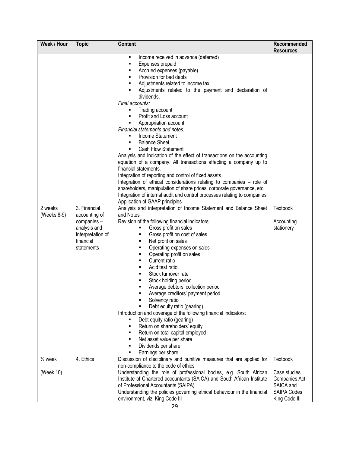| Week / Hour            | <b>Topic</b>                                                                                                 | <b>Content</b>                                                                                                                                                                                                                                                                                                                                                                                                                                                                                                                                                                                                                                                                                                                                                                                                                                                                                                                                                                        | Recommended<br><b>Resources</b>                                                   |
|------------------------|--------------------------------------------------------------------------------------------------------------|---------------------------------------------------------------------------------------------------------------------------------------------------------------------------------------------------------------------------------------------------------------------------------------------------------------------------------------------------------------------------------------------------------------------------------------------------------------------------------------------------------------------------------------------------------------------------------------------------------------------------------------------------------------------------------------------------------------------------------------------------------------------------------------------------------------------------------------------------------------------------------------------------------------------------------------------------------------------------------------|-----------------------------------------------------------------------------------|
|                        |                                                                                                              | Income received in advance (deferred)<br>٠<br>Expenses prepaid<br>٠<br>Accrued expenses (payable)<br>٠<br>Provision for bad debts<br>٠<br>Adjustments related to income tax<br>٠<br>Adjustments related to the payment and declaration of<br>٠<br>dividends.<br>Final accounts:<br>Trading account<br>п<br>Profit and Loss account<br>Appropriation account<br>٠<br>Financial statements and notes:<br>Income Statement<br><b>Balance Sheet</b><br>٠<br><b>Cash Flow Statement</b><br>Analysis and indication of the effect of transactions on the accounting<br>equation of a company. All transactions affecting a company up to<br>financial statements.<br>Integration of reporting and control of fixed assets<br>Integration of ethical considerations relating to companies - role of<br>shareholders, manipulation of share prices, corporate governance, etc.<br>Integration of internal audit and control processes relating to companies<br>Application of GAAP principles |                                                                                   |
| 2 weeks<br>(Weeks 8-9) | 3. Financial<br>accounting of<br>companies -<br>analysis and<br>interpretation of<br>financial<br>statements | Analysis and interpretation of Income Statement and Balance Sheet<br>and Notes<br>Revision of the following financial indicators:<br>Gross profit on sales<br>Gross profit on cost of sales<br>Net profit on sales<br>٠<br>Operating expenses on sales<br>٠<br>Operating profit on sales<br>Current ratio<br>٠<br>Acid test ratio<br>٠<br>Stock turnover rate<br>Stock holding period<br>Average debtors' collection period<br>Average creditors' payment period<br>Solvency ratio<br>Debt equity ratio (gearing)<br>Introduction and coverage of the following financial indicators:<br>Debt equity ratio (gearing)<br>Return on shareholders' equity<br>٠<br>Return on total capital employed<br>п<br>Net asset value per share<br>٠<br>Dividends per share<br>٠<br>Earnings per share                                                                                                                                                                                              | Textbook<br>Accounting<br>stationery                                              |
| $\frac{1}{2}$ week     | 4. Ethics                                                                                                    | Discussion of disciplinary and punitive measures that are applied for<br>non-compliance to the code of ethics                                                                                                                                                                                                                                                                                                                                                                                                                                                                                                                                                                                                                                                                                                                                                                                                                                                                         | Textbook                                                                          |
| (Week 10)              |                                                                                                              | Understanding the role of professional bodies, e.g. South African<br>Institute of Chartered accountants (SAICA) and South African Institute<br>of Professional Accountants (SAIPA)<br>Understanding the policies governing ethical behaviour in the financial<br>environment, viz. King Code III                                                                                                                                                                                                                                                                                                                                                                                                                                                                                                                                                                                                                                                                                      | Case studies<br>Companies Act<br>SAICA and<br><b>SAIPA Codes</b><br>King Code III |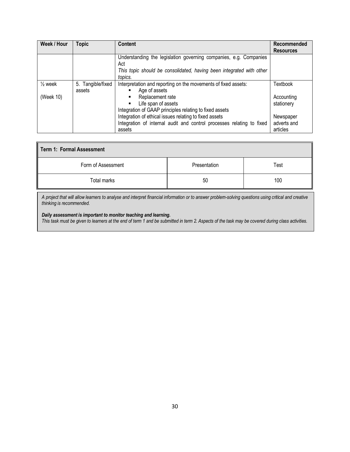| Week / Hour        | <b>Topic</b>      | Content                                                                         | Recommended<br><b>Resources</b> |
|--------------------|-------------------|---------------------------------------------------------------------------------|---------------------------------|
|                    |                   | Understanding the legislation governing companies, e.g. Companies<br>Act        |                                 |
|                    |                   | This topic should be consolidated, having been integrated with other<br>topics. |                                 |
| $\frac{1}{2}$ week | 5. Tangible/fixed | Interpretation and reporting on the movements of fixed assets:                  | Textbook                        |
|                    | assets            | Age of assets<br>٠                                                              |                                 |
| (Week 10)          |                   | Replacement rate                                                                | Accounting                      |
|                    |                   | Life span of assets<br>$\blacksquare$                                           | stationery                      |
|                    |                   | Integration of GAAP principles relating to fixed assets                         |                                 |
|                    |                   | Integration of ethical issues relating to fixed assets                          | Newspaper                       |
|                    |                   | Integration of internal audit and control processes relating to fixed           | adverts and                     |
|                    |                   | assets                                                                          | articles                        |

| Term 1: Formal Assessment |              |      |  |
|---------------------------|--------------|------|--|
| Form of Assessment        | Presentation | Test |  |
| Total marks               | 50           | 100  |  |

*A project that will allow learners to analyse and interpret financial information or to answer problem-solving questions using critical and creative thinking is recommended.*

#### *Daily assessment is important to monitor teaching and learning.*

*This task must be given to learners at the end of term 1 and be submitted in term 2. Aspects of the task may be covered during class activities.*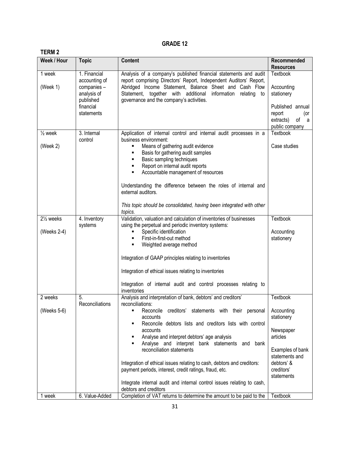| I LINII 4<br>Week / Hour              | <b>Topic</b>                                                                                        | <b>Content</b>                                                                                                                                                                                                                                                                                                                                                                                                                                                                                                                           | Recommended                                                                                                                       |
|---------------------------------------|-----------------------------------------------------------------------------------------------------|------------------------------------------------------------------------------------------------------------------------------------------------------------------------------------------------------------------------------------------------------------------------------------------------------------------------------------------------------------------------------------------------------------------------------------------------------------------------------------------------------------------------------------------|-----------------------------------------------------------------------------------------------------------------------------------|
|                                       |                                                                                                     |                                                                                                                                                                                                                                                                                                                                                                                                                                                                                                                                          | <b>Resources</b>                                                                                                                  |
| 1 week<br>(Week 1)                    | 1. Financial<br>accounting of<br>companies -<br>analysis of<br>published<br>financial<br>statements | Analysis of a company's published financial statements and audit<br>report comprising Directors' Report, Independent Auditors' Report,<br>Abridged Income Statement, Balance Sheet and Cash Flow<br>Statement, together with additional information<br>relating to<br>governance and the company's activities.                                                                                                                                                                                                                           | Textbook<br>Accounting<br>stationery<br>Published annual<br>report<br>(or<br>extracts)<br>of<br>a<br>public company               |
| $\frac{1}{2}$ week                    | 3. Internal<br>control                                                                              | Application of internal control and internal audit processes in a<br>business environment:                                                                                                                                                                                                                                                                                                                                                                                                                                               | Textbook                                                                                                                          |
| (Week 2)                              |                                                                                                     | Means of gathering audit evidence<br>Basis for gathering audit samples<br>Basic sampling techniques<br>٠<br>Report on internal audit reports<br>٠<br>Accountable management of resources<br>٠<br>Understanding the difference between the roles of internal and<br>external auditors.<br>This topic should be consolidated, having been integrated with other                                                                                                                                                                            | Case studies                                                                                                                      |
|                                       |                                                                                                     | topics.                                                                                                                                                                                                                                                                                                                                                                                                                                                                                                                                  |                                                                                                                                   |
| 21/ <sub>2</sub> weeks<br>(Weeks 2-4) | 4. Inventory<br>systems                                                                             | Validation, valuation and calculation of inventories of businesses<br>using the perpetual and periodic inventory systems:<br>Specific identification<br>First-in-first-out method<br>Weighted average method<br>٠<br>Integration of GAAP principles relating to inventories<br>Integration of ethical issues relating to inventories<br>Integration of internal audit and control processes relating to<br>inventories                                                                                                                   | Textbook<br>Accounting<br>stationery                                                                                              |
| 2 weeks                               | 5.                                                                                                  | Analysis and interpretation of bank, debtors' and creditors'                                                                                                                                                                                                                                                                                                                                                                                                                                                                             | Textbook                                                                                                                          |
| (Weeks 5-6)                           | Reconciliations                                                                                     | reconciliations:<br>Reconcile<br>creditors' statements with their personal<br>accounts<br>Reconcile debtors lists and creditors lists with control<br>accounts<br>Analyse and interpret debtors' age analysis<br>Analyse and interpret bank statements and bank<br>٠<br>reconciliation statements<br>Integration of ethical issues relating to cash, debtors and creditors:<br>payment periods, interest, credit ratings, fraud, etc.<br>Integrate internal audit and internal control issues relating to cash,<br>debtors and creditors | Accounting<br>stationery<br>Newspaper<br>articles<br>Examples of bank<br>statements and<br>debtors' &<br>creditors'<br>statements |
| 1 week                                | 6. Value-Added                                                                                      | Completion of VAT returns to determine the amount to be paid to the                                                                                                                                                                                                                                                                                                                                                                                                                                                                      | Textbook                                                                                                                          |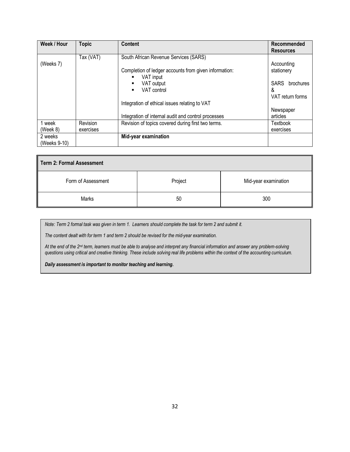| Week / Hour  | <b>Topic</b> | <b>Content</b>                                        | Recommended              |
|--------------|--------------|-------------------------------------------------------|--------------------------|
|              |              |                                                       | <b>Resources</b>         |
|              | Tax (VAT)    | South African Revenue Services (SARS)                 |                          |
| (Weeks 7)    |              |                                                       | Accounting               |
|              |              | Completion of ledger accounts from given information: | stationery               |
|              |              | VAT input<br>٠                                        |                          |
|              |              | VAT output                                            | <b>SARS</b><br>brochures |
|              |              | VAT control<br>٠                                      | &                        |
|              |              |                                                       | VAT return forms         |
|              |              | Integration of ethical issues relating to VAT         |                          |
|              |              |                                                       | Newspaper                |
|              |              | Integration of internal audit and control processes   | articles                 |
| 1 week       | Revision     | Revision of topics covered during first two terms.    | Textbook                 |
| (Week 8)     | exercises    |                                                       | exercises                |
| 2 weeks      |              | Mid-year examination                                  |                          |
| (Weeks 9-10) |              |                                                       |                          |

| <b>Term 2: Formal Assessment</b> |         |                      |  |
|----------------------------------|---------|----------------------|--|
| Form of Assessment               | Project | Mid-year examination |  |
| Marks                            | 50      | 300                  |  |

*Note: Term 2 formal task was given in term 1. Learners should complete the task for term 2 and submit it.*

*The content dealt with for term 1 and term 2 should be revised for the mid-year examination.*

*At the end of the 2nd term, learners must be able to analyse and interpret any financial information and answer any problem-solving questions using critical and creative thinking. These include solving real life problems within the context of the accounting curriculum.*

*Daily assessment is important to monitor teaching and learning.*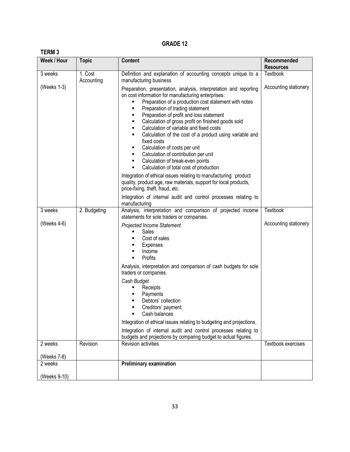| ı |  |
|---|--|
|---|--|

| Week / Hour  | <b>Topic</b> | <b>Content</b>                                                                                                                                                                                                                                                                                                                                                                                                                                                                                                                                                                                                                                                                                                                                                                                                                                                                                                  | Recommended<br><b>Resources</b> |
|--------------|--------------|-----------------------------------------------------------------------------------------------------------------------------------------------------------------------------------------------------------------------------------------------------------------------------------------------------------------------------------------------------------------------------------------------------------------------------------------------------------------------------------------------------------------------------------------------------------------------------------------------------------------------------------------------------------------------------------------------------------------------------------------------------------------------------------------------------------------------------------------------------------------------------------------------------------------|---------------------------------|
| 3 weeks      | 1. Cost      | Definition and explanation of accounting concepts unique to a                                                                                                                                                                                                                                                                                                                                                                                                                                                                                                                                                                                                                                                                                                                                                                                                                                                   | Textbook                        |
| (Weeks 1-3)  | Accounting   | manufacturing business<br>Preparation, presentation, analysis, interpretation and reporting<br>on cost information for manufacturing enterprises:<br>Preparation of a production cost statement with notes<br>Preparation of trading statement<br>٠<br>Preparation of profit and loss statement<br>٠<br>Calculation of gross profit on finished goods sold<br>٠<br>Calculation of variable and fixed costs<br>٠<br>Calculation of the cost of a product using variable and<br>٠<br>fixed costs<br>Calculation of costs per unit<br>٠<br>Calculation of contribution per unit<br>Calculation of break-even points<br>Calculation of total cost of production<br>٠<br>Integration of ethical issues relating to manufacturing: product<br>quality, product age, raw materials, support for local products,<br>price-fixing, theft, fraud, etc.<br>Integration of internal audit and control processes relating to | Accounting stationery           |
| 3 weeks      | 2. Budgeting | manufacturing<br>Analysis, interpretation and comparison of projected income                                                                                                                                                                                                                                                                                                                                                                                                                                                                                                                                                                                                                                                                                                                                                                                                                                    | Textbook                        |
|              |              | statements for sole traders or companies.                                                                                                                                                                                                                                                                                                                                                                                                                                                                                                                                                                                                                                                                                                                                                                                                                                                                       |                                 |
| (Weeks 4-6)  |              | Projected Income Statement<br>Sales<br>٠<br>Cost of sales<br>Expenses<br>Income<br>٠<br>Profits<br>٠<br>Analysis, interpretation and comparison of cash budgets for sole<br>traders or companies.<br>Cash Budget<br>Receipts<br>Payments<br>Debtors' collection<br>Creditors' payment<br>٠<br>Cash balances<br>Integration of ethical issues relating to budgeting and projections.<br>Integration of internal audit and control processes relating to                                                                                                                                                                                                                                                                                                                                                                                                                                                          | Accounting stationery           |
| 2 weeks      | Revision     | budgets and projections by comparing budget to actual figures.<br>Revision activities                                                                                                                                                                                                                                                                                                                                                                                                                                                                                                                                                                                                                                                                                                                                                                                                                           | <b>Textbook exercises</b>       |
| (Weeks 7-8)  |              |                                                                                                                                                                                                                                                                                                                                                                                                                                                                                                                                                                                                                                                                                                                                                                                                                                                                                                                 |                                 |
| 2 weeks      |              | <b>Preliminary examination</b>                                                                                                                                                                                                                                                                                                                                                                                                                                                                                                                                                                                                                                                                                                                                                                                                                                                                                  |                                 |
| (Weeks 9-10) |              |                                                                                                                                                                                                                                                                                                                                                                                                                                                                                                                                                                                                                                                                                                                                                                                                                                                                                                                 |                                 |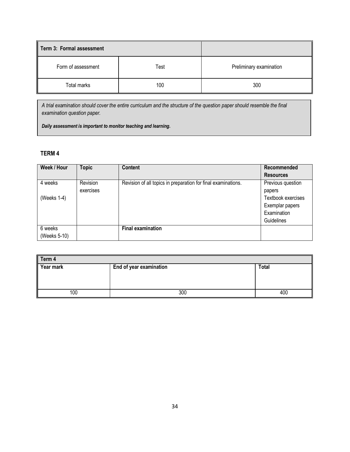| Term 3: Formal assessment |      |                         |
|---------------------------|------|-------------------------|
| Form of assessment        | Test | Preliminary examination |
| Total marks               | 100  | 300                     |

*A trial examination should cover the entire curriculum and the structure of the question paper should resemble the final examination question paper.* 

*Daily assessment is important to monitor teaching and learning.*

## **TERM 4**

| Week / Hour  | <b>Topic</b> | <b>Content</b>                                                | Recommended        |
|--------------|--------------|---------------------------------------------------------------|--------------------|
|              |              |                                                               | <b>Resources</b>   |
| 4 weeks      | Revision     | Revision of all topics in preparation for final examinations. | Previous question  |
|              | exercises    |                                                               | papers             |
| (Weeks 1-4)  |              |                                                               | Textbook exercises |
|              |              |                                                               | Exemplar papers    |
|              |              |                                                               | Examination        |
|              |              |                                                               | Guidelines         |
| 6 weeks      |              | <b>Final examination</b>                                      |                    |
| (Weeks 5-10) |              |                                                               |                    |

| Term 4    |                         |       |  |
|-----------|-------------------------|-------|--|
| Year mark | End of year examination | Total |  |
|           |                         |       |  |
|           |                         |       |  |
|           |                         |       |  |
| 100       | 300                     | 400   |  |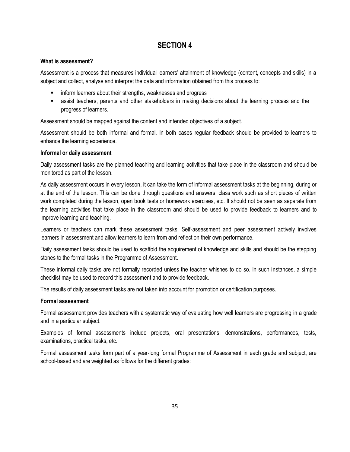# **SECTION 4**

## **What is assessment?**

Assessment is a process that measures individual learners" attainment of knowledge (content, concepts and skills) in a subject and collect, analyse and interpret the data and information obtained from this process to:

- inform learners about their strengths, weaknesses and progress
- assist teachers, parents and other stakeholders in making decisions about the learning process and the progress of learners.

Assessment should be mapped against the content and intended objectives of a subject.

Assessment should be both informal and formal. In both cases regular feedback should be provided to learners to enhance the learning experience.

#### **Informal or daily assessment**

Daily assessment tasks are the planned teaching and learning activities that take place in the classroom and should be monitored as part of the lesson.

As daily assessment occurs in every lesson, it can take the form of informal assessment tasks at the beginning, during or at the end of the lesson. This can be done through questions and answers, class work such as short pieces of written work completed during the lesson, open book tests or homework exercises, etc. It should not be seen as separate from the learning activities that take place in the classroom and should be used to provide feedback to learners and to improve learning and teaching.

Learners or teachers can mark these assessment tasks. Self-assessment and peer assessment actively involves learners in assessment and allow learners to learn from and reflect on their own performance.

Daily assessment tasks should be used to scaffold the acquirement of knowledge and skills and should be the stepping stones to the formal tasks in the Programme of Assessment.

These informal daily tasks are not formally recorded unless the teacher whishes to do so. In such instances, a simple checklist may be used to record this assessment and to provide feedback.

The results of daily assessment tasks are not taken into account for promotion or certification purposes.

#### **Formal assessment**

Formal assessment provides teachers with a systematic way of evaluating how well learners are progressing in a grade and in a particular subject.

Examples of formal assessments include projects, oral presentations, demonstrations, performances, tests, examinations, practical tasks, etc.

Formal assessment tasks form part of a year-long formal Programme of Assessment in each grade and subject, are school-based and are weighted as follows for the different grades: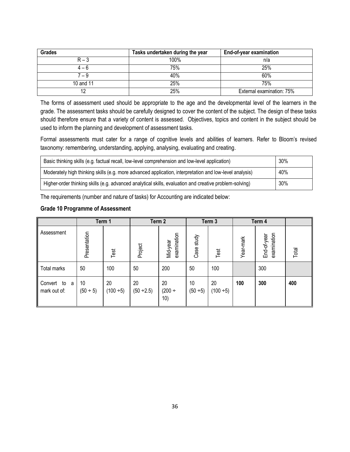| Grades    | Tasks undertaken during the year | <b>End-of-year examination</b> |
|-----------|----------------------------------|--------------------------------|
| $R - 3$   | 100%                             | n/a                            |
| $4 - 6$   | 75%                              | 25%                            |
| 7 – 9     | 40%                              | 60%                            |
| 10 and 11 | 25%                              | 75%                            |
| 12        | 25%                              | External examination: 75%      |

The forms of assessment used should be appropriate to the age and the developmental level of the learners in the grade. The assessment tasks should be carefully designed to cover the content of the subject. The design of these tasks should therefore ensure that a variety of content is assessed. Objectives, topics and content in the subject should be used to inform the planning and development of assessment tasks.

Formal assessments must cater for a range of cognitive levels and abilities of learners. Refer to Bloom's revised taxonomy: remembering, understanding, applying, analysing, evaluating and creating.

| Basic thinking skills (e.g. factual recall, low-level comprehension and low-level application)          | $30\%$ |
|---------------------------------------------------------------------------------------------------------|--------|
| Moderately high thinking skills (e.g. more advanced application, interpretation and low-level analysis) | 40%    |
| Higher-order thinking skills (e.g. advanced analytical skills, evaluation and creative problem-solving) | 30%    |

The requirements (number and nature of tasks) for Accounting are indicated below:

## **Grade 10 Programme of Assessment**

|                                 |                     | Term 1            | Term 2                |                         |                  | Term 3               | Term 4    |                            |       |
|---------------------------------|---------------------|-------------------|-----------------------|-------------------------|------------------|----------------------|-----------|----------------------------|-------|
| Assessment                      | Presentation        | Test              | Project               | examination<br>Mid-year | Case study       | Test                 | Year-mark | examination<br>End-of-year | Total |
| <b>Total marks</b>              | 50                  | 100               | 50                    | 200                     | 50               | 100                  |           | 300                        |       |
| Convert to<br>a<br>mark out of: | 10<br>$(50 \div 5)$ | 20<br>$(100 + 5)$ | 20<br>$(50 \div 2.5)$ | 20<br>$(200 +$<br>10)   | 10<br>$(50 + 5)$ | 20<br>$(100 \div 5)$ | 100       | 300                        | 400   |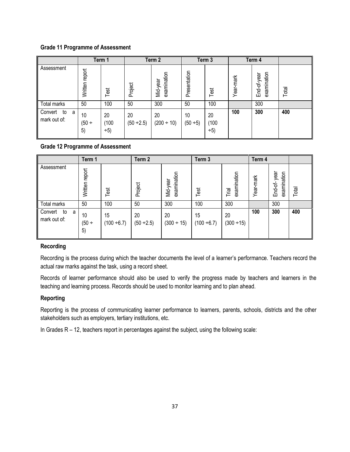## **Grade 11 Programme of Assessment**

|                                    |                     | Term 1               |                       | Term 2                  |                  | Term 3               |           | Term 4                     |       |
|------------------------------------|---------------------|----------------------|-----------------------|-------------------------|------------------|----------------------|-----------|----------------------------|-------|
| Assessment                         | Written report      | Test                 | Project               | examination<br>Mid-year | Presentation     | Test                 | Year-mark | examination<br>End-of-year | Total |
| Total marks                        | 50                  | 100                  | 50                    | 300                     | 50               | 100                  |           | 300                        |       |
| Convert<br>to<br>a<br>mark out of: | 10<br>$(50 +$<br>5) | 20<br>(100)<br>$+5)$ | 20<br>$(50 \div 2.5)$ | 20<br>$(200 \div 10)$   | 10<br>$(50 + 5)$ | 20<br>(100)<br>$+5)$ | 100       | 300                        | 400   |

## **Grade 12 Programme of Assessment**

|                                    | Term 1              |                        | Term <sub>2</sub>     |                         | Term <sub>3</sub>   |                       | Term 4    |                            |       |
|------------------------------------|---------------------|------------------------|-----------------------|-------------------------|---------------------|-----------------------|-----------|----------------------------|-------|
| Assessment                         | report<br>Written   | Test                   | Project               | examination<br>Mid-year | Test                | examination<br>Trial  | Year-mark | End-of-year<br>examination | Total |
| Total marks                        | 50                  | 100                    | 50                    | 300                     | 100                 | 300                   |           | 300                        |       |
| Convert<br>to<br>a<br>mark out of: | 10<br>$(50 +$<br>5) | 15<br>$(100 \div 6.7)$ | 20<br>$(50 \div 2.5)$ | 20<br>$(300 \div 15)$   | 15<br>$(100 + 6.7)$ | 20<br>$(300 \div 15)$ | 100       | 300                        | 400   |

#### **Recording**

Recording is the process during which the teacher documents the level of a learner"s performance. Teachers record the actual raw marks against the task, using a record sheet.

Records of learner performance should also be used to verify the progress made by teachers and learners in the teaching and learning process. Records should be used to monitor learning and to plan ahead.

#### **Reporting**

Reporting is the process of communicating learner performance to learners, parents, schools, districts and the other stakeholders such as employers, tertiary institutions, etc.

In Grades R – 12, teachers report in percentages against the subject, using the following scale: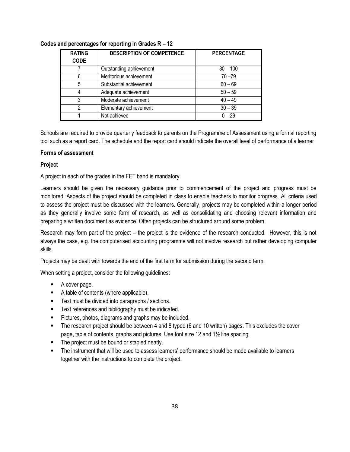| <b>RATING</b><br><b>CODE</b> | <b>DESCRIPTION OF COMPETENCE</b> | <b>PERCENTAGE</b> |
|------------------------------|----------------------------------|-------------------|
|                              | Outstanding achievement          | $80 - 100$        |
|                              | Meritorious achievement          | $70 - 79$         |
| 5                            | Substantial achievement          | $60 - 69$         |
|                              | Adequate achievement             | $50 - 59$         |
| 3                            | Moderate achievement             | $40 - 49$         |
|                              | Elementary achievement           | $30 - 39$         |
|                              | Not achieved                     | $0 - 29$          |

### **Codes and percentages for reporting in Grades R – 12**

Schools are required to provide quarterly feedback to parents on the Programme of Assessment using a formal reporting tool such as a report card. The schedule and the report card should indicate the overall level of performance of a learner

#### **Forms of assessment**

### **Project**

A project in each of the grades in the FET band is mandatory.

Learners should be given the necessary guidance prior to commencement of the project and progress must be monitored. Aspects of the project should be completed in class to enable teachers to monitor progress. All criteria used to assess the project must be discussed with the learners. Generally, projects may be completed within a longer period as they generally involve some form of research, as well as consolidating and choosing relevant information and preparing a written document as evidence. Often projects can be structured around some problem.

Research may form part of the project – the project is the evidence of the research conducted. However, this is not always the case, e.g. the computerised accounting programme will not involve research but rather developing computer skills.

Projects may be dealt with towards the end of the first term for submission during the second term.

When setting a project, consider the following guidelines:

- A cover page.
- A table of contents (where applicable).
- **Text must be divided into paragraphs / sections.**
- **Text references and bibliography must be indicated.**
- **Pictures, photos, diagrams and graphs may be included.**
- The research project should be between 4 and 8 typed (6 and 10 written) pages. This excludes the cover page, table of contents, graphs and pictures. Use font size 12 and 1½ line spacing.
- The project must be bound or stapled neatly.
- The instrument that will be used to assess learners" performance should be made available to learners together with the instructions to complete the project.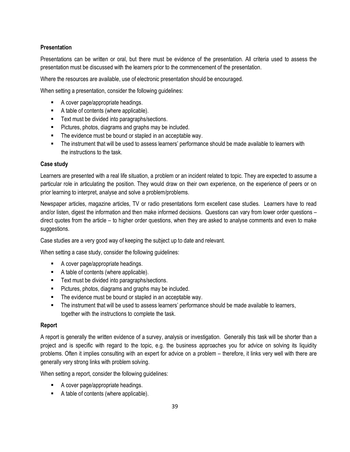## **Presentation**

Presentations can be written or oral, but there must be evidence of the presentation. All criteria used to assess the presentation must be discussed with the learners prior to the commencement of the presentation.

Where the resources are available, use of electronic presentation should be encouraged.

When setting a presentation, consider the following guidelines:

- A cover page/appropriate headings.
- A table of contents (where applicable).
- Text must be divided into paragraphs/sections.
- **Pictures, photos, diagrams and graphs may be included.**
- **The evidence must be bound or stapled in an acceptable way.**
- The instrument that will be used to assess learners" performance should be made available to learners with the instructions to the task.

### **Case study**

Learners are presented with a real life situation, a problem or an incident related to topic. They are expected to assume a particular role in articulating the position. They would draw on their own experience, on the experience of peers or on prior learning to interpret, analyse and solve a problem/problems.

Newspaper articles, magazine articles, TV or radio presentations form excellent case studies. Learners have to read and/or listen, digest the information and then make informed decisions. Questions can vary from lower order questions – direct quotes from the article – to higher order questions, when they are asked to analyse comments and even to make suggestions.

Case studies are a very good way of keeping the subject up to date and relevant.

When setting a case study, consider the following guidelines:

- A cover page/appropriate headings.
- A table of contents (where applicable).
- **Text must be divided into paragraphs/sections.**
- **Pictures, photos, diagrams and graphs may be included.**
- The evidence must be bound or stapled in an acceptable way.
- The instrument that will be used to assess learners" performance should be made available to learners, together with the instructions to complete the task.

#### **Report**

A report is generally the written evidence of a survey, analysis or investigation. Generally this task will be shorter than a project and is specific with regard to the topic, e.g. the business approaches you for advice on solving its liquidity problems. Often it implies consulting with an expert for advice on a problem – therefore, it links very well with there are generally very strong links with problem solving.

When setting a report, consider the following guidelines:

- A cover page/appropriate headings.
- A table of contents (where applicable).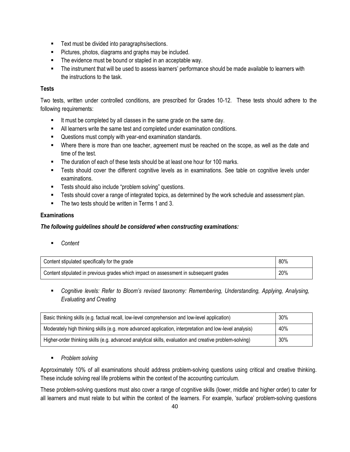- **Text must be divided into paragraphs/sections.**
- **Pictures, photos, diagrams and graphs may be included.**
- The evidence must be bound or stapled in an acceptable way.
- The instrument that will be used to assess learners' performance should be made available to learners with the instructions to the task.

## **Tests**

Two tests, written under controlled conditions, are prescribed for Grades 10-12. These tests should adhere to the following requirements:

- It must be completed by all classes in the same grade on the same day.
- All learners write the same test and completed under examination conditions.
- Questions must comply with year-end examination standards.
- Where there is more than one teacher, agreement must be reached on the scope, as well as the date and time of the test.
- The duration of each of these tests should be at least one hour for 100 marks.
- Tests should cover the different cognitive levels as in examinations. See table on cognitive levels under examinations.
- **Tests should also include "problem solving" questions.**
- **FALL COVER 2.5 IS COVET A FALL COVER 1** THE STAR IS COVER THE WORK SCHEDULE AND ASSESSMENT plan.
- The two tests should be written in Terms 1 and 3.

## **Examinations**

## *The following guidelines should be considered when constructing examinations:*

*Content*

| Content stipulated specifically for the grade                                         | 80% |
|---------------------------------------------------------------------------------------|-----|
| Content stipulated in previous grades which impact on assessment in subsequent grades | 20% |

 *Cognitive levels: Refer to Bloom's revised taxonomy: Remembering, Understanding, Applying, Analysing, Evaluating and Creating*

| Basic thinking skills (e.g. factual recall, low-level comprehension and low-level application)          |     |  |  |  |
|---------------------------------------------------------------------------------------------------------|-----|--|--|--|
| Moderately high thinking skills (e.g. more advanced application, interpretation and low-level analysis) | 40% |  |  |  |
| Higher-order thinking skills (e.g. advanced analytical skills, evaluation and creative problem-solving) | 30% |  |  |  |

*Problem solving*

Approximately 10% of all examinations should address problem-solving questions using critical and creative thinking. These include solving real life problems within the context of the accounting curriculum.

These problem-solving questions must also cover a range of cognitive skills (lower, middle and higher order) to cater for all learners and must relate to but within the context of the learners. For example, "surface" problem-solving questions